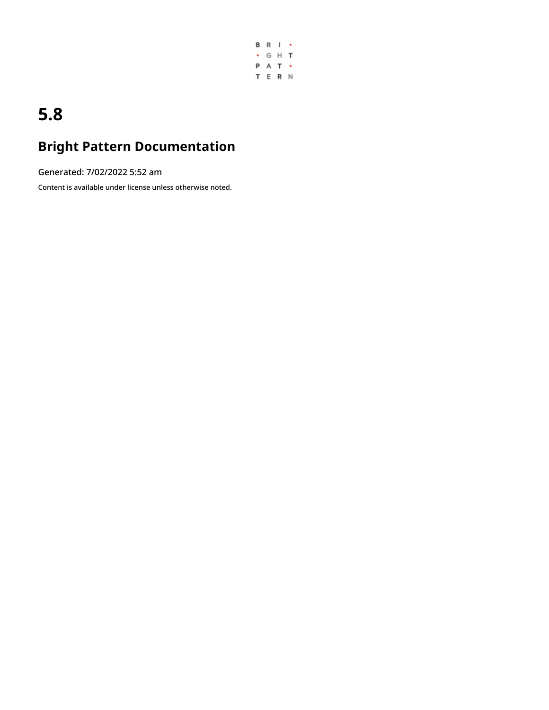

# **5.8**

# **Bright Pattern Documentation**

Generated: 7/02/2022 5:52 am

Content is available under license unless otherwise noted.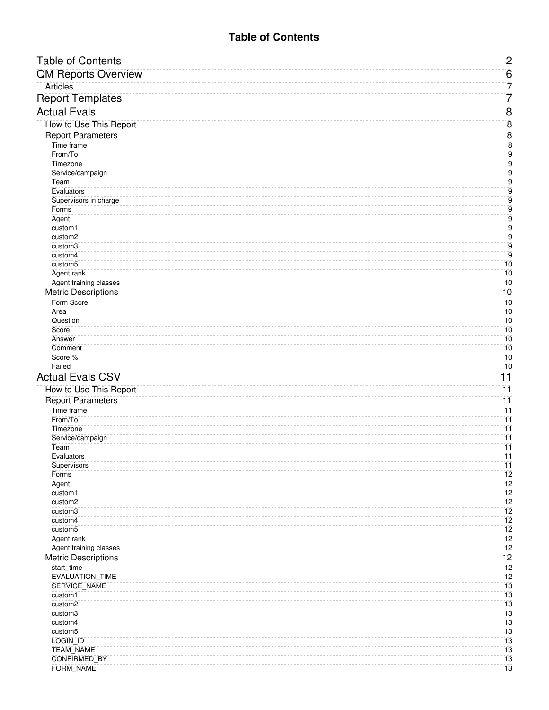# **Table of Contents**

<span id="page-1-0"></span>

| <b>Table of Contents</b>                             | $\overline{c}$                     |
|------------------------------------------------------|------------------------------------|
| <b>QM Reports Overview</b>                           | $6 \overline{6}$                   |
| <b>Articles</b>                                      | 7                                  |
| <b>Report Templates</b>                              | 7                                  |
| <b>Actual Evals</b>                                  | $\overline{8}$                     |
| How to Use This Report                               | $\bf 8$                            |
| <b>Report Parameters</b>                             | $\overline{8}$                     |
| Time frame                                           | $\bf 8$                            |
| From/To                                              | $\mathsf g$                        |
| Timezone                                             | 9                                  |
| Service/campaign                                     | 9                                  |
| Team<br>Evaluators                                   | 9<br>9                             |
| Supervisors in charge                                | $\mathsf g$                        |
| Forms                                                | 9                                  |
| Agent                                                | 9                                  |
| custom1<br>custom2                                   | 9<br>9                             |
| custom3                                              | $\mathsf g$                        |
| custom4                                              | $\overline{9}$                     |
| custom <sub>5</sub>                                  | 10                                 |
| Agent rank                                           | 10<br>10                           |
| Agent training classes<br><b>Metric Descriptions</b> | 10                                 |
| Form Score                                           | 10                                 |
| Area                                                 | 10                                 |
| Question                                             | 10                                 |
| Score                                                | 10                                 |
| Answer<br>Comment                                    | 10<br>10                           |
| Score %                                              | 10                                 |
| Failed                                               | 10                                 |
| <b>Actual Evals CSV</b>                              | 11                                 |
| How to Use This Report                               | $\overline{11}$                    |
| <b>Report Parameters</b>                             | $\overline{11}$                    |
| Time frame                                           | $\overline{11}$                    |
| From/To<br>Timezone                                  | $\overline{11}$<br>$\overline{11}$ |
| Service/campaign                                     | $\overline{11}$                    |
| Team                                                 | $\overline{11}$                    |
| Evaluators                                           | $\overline{11}$                    |
| Supervisors<br>Forms                                 | $\overline{11}$<br>12              |
| Agent                                                | 12                                 |
| custom1                                              | 12                                 |
| custom2                                              | 12                                 |
| custom3                                              | 12<br>12                           |
| custom4<br>custom <sub>5</sub>                       | 12                                 |
| Agent rank                                           | 12                                 |
| Agent training classes                               | 12                                 |
| <b>Metric Descriptions</b>                           | 12                                 |
| start_time                                           | 12                                 |
| EVALUATION_TIME<br>SERVICE_NAME                      | 12<br>13                           |
| custom1                                              | 13                                 |
| custom2                                              | 13                                 |
| custom3                                              | 13                                 |
| custom4<br>custom <sub>5</sub>                       | 13<br>13                           |
| LOGIN_ID                                             | 13                                 |
| TEAM_NAME                                            | 13                                 |
| CONFIRMED_BY                                         | 13                                 |
| FORM_NAME                                            | 13                                 |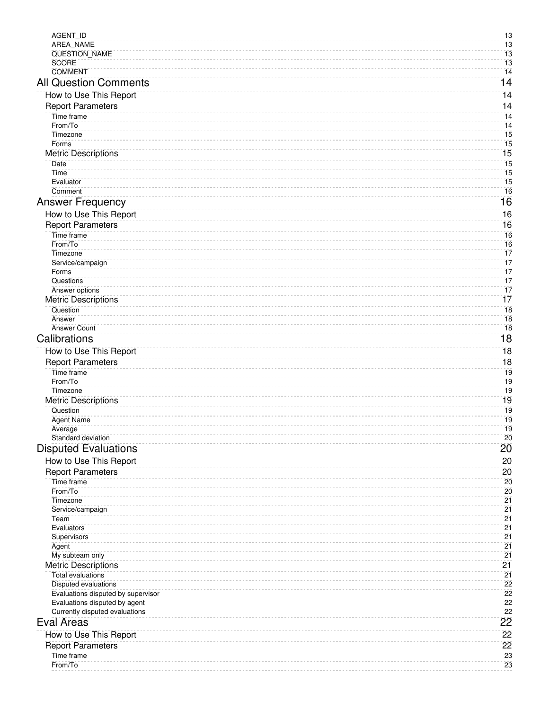| AGENT_ID                                               | 13              |
|--------------------------------------------------------|-----------------|
| AREA_NAME                                              | 13              |
| QUESTION_NAME                                          | 13              |
| <b>SCORE</b>                                           | 13              |
| <b>COMMENT</b>                                         | 14              |
| <b>All Question Comments</b>                           | 14              |
| How to Use This Report                                 | $\overline{14}$ |
| <b>Report Parameters</b>                               | 14              |
| Time frame                                             | 14              |
| From/To                                                | 14              |
| Timezone                                               | 15              |
| Forms                                                  | 15              |
| <b>Metric Descriptions</b>                             | 15              |
| Date                                                   | 15              |
| Time<br>Evaluator                                      | 15<br>15        |
| Comment                                                | 16              |
| <b>Answer Frequency</b>                                | 16              |
|                                                        |                 |
| How to Use This Report                                 | 16              |
| <b>Report Parameters</b>                               | 16              |
| Time frame                                             | 16              |
| From/To                                                | 16              |
| Timezone                                               | 17<br>17        |
| Service/campaign<br>Forms                              | 17              |
| Questions                                              | 17              |
| Answer options                                         | 17              |
| <b>Metric Descriptions</b>                             | 17              |
| Question                                               | 18              |
| Answer                                                 | 18              |
| <b>Answer Count</b>                                    | 18              |
| Calibrations                                           | 18              |
| How to Use This Report                                 | $\overline{18}$ |
| <b>Report Parameters</b>                               | 18              |
| Time frame                                             | 19              |
| From/To                                                | 19              |
| Timezone                                               | 19              |
| <b>Metric Descriptions</b>                             | 19              |
| Question                                               | 19              |
| <b>Agent Name</b>                                      | 19              |
| Average                                                | 19              |
| Standard deviation                                     | 20              |
| <b>Disputed Evaluations</b>                            | 20              |
| How to Use This Report                                 | 20              |
| <b>Report Parameters</b>                               | 20              |
| Time frame                                             | 20              |
| From/To                                                | 20              |
| Timezone                                               | 21              |
| Service/campaign                                       | 21              |
| Team                                                   | 21              |
| Evaluators                                             | 21              |
| Supervisors                                            | 21              |
| Agent                                                  | 21<br>21        |
| My subteam only                                        | 21              |
| <b>Metric Descriptions</b><br><b>Total evaluations</b> | 21              |
| Disputed evaluations                                   | 22              |
| Evaluations disputed by supervisor                     | 22              |
| Evaluations disputed by agent                          | 22              |
| Currently disputed evaluations                         | 22              |
| <b>Eval Areas</b>                                      | 22              |
|                                                        | 22              |
| How to Use This Report                                 |                 |
| <b>Report Parameters</b>                               | 22<br>23        |
| Time frame<br>From/To                                  | 23              |
|                                                        |                 |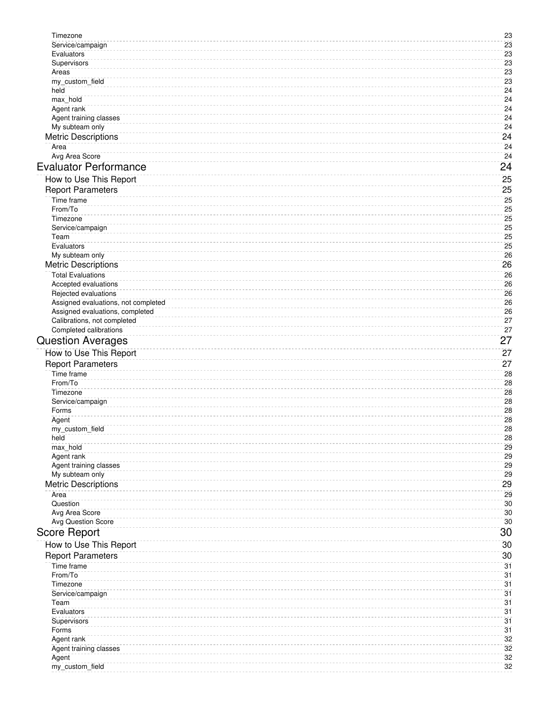| Timezone                                                               | 23              |
|------------------------------------------------------------------------|-----------------|
| Service/campaign                                                       | 23              |
| Evaluators                                                             | 23              |
| Supervisors                                                            | 23              |
| Areas                                                                  | 23              |
| my_custom_field                                                        | 23              |
| held                                                                   | 24              |
| max_hold                                                               | 24              |
| Agent rank                                                             | 24              |
| Agent training classes                                                 | 24              |
| My subteam only                                                        | 24              |
| <b>Metric Descriptions</b>                                             | 24              |
| Area                                                                   | 24              |
| Avg Area Score                                                         | 24              |
| <b>Evaluator Performance</b>                                           | $\overline{24}$ |
|                                                                        | 25              |
| How to Use This Report                                                 |                 |
| <b>Report Parameters</b>                                               | 25              |
| Time frame                                                             | 25              |
| From/To                                                                | 25              |
| Timezone                                                               | 25              |
| Service/campaign                                                       | 25              |
| Team                                                                   | 25              |
| Evaluators                                                             | 25              |
| My subteam only                                                        | 26              |
| <b>Metric Descriptions</b>                                             | 26              |
| <b>Total Evaluations</b>                                               | 26              |
| Accepted evaluations                                                   | 26              |
| Rejected evaluations                                                   | 26              |
| Assigned evaluations, not completed<br>Assigned evaluations, completed | 26<br>26        |
| Calibrations, not completed                                            | 27              |
| Completed calibrations                                                 | 27              |
|                                                                        | 27              |
| <b>Question Averages</b>                                               |                 |
| How to Use This Report                                                 | 27              |
| <b>Report Parameters</b>                                               | 27              |
| Time frame                                                             | 28              |
| From/To                                                                | 28              |
| Timezone                                                               | 28              |
| Service/campaign                                                       | 28              |
| Forms                                                                  | 28              |
| Agent                                                                  | 28<br>28        |
| my_custom_field                                                        |                 |
| held<br>max hold                                                       | 28<br>29        |
| Agent rank                                                             | 29              |
| Agent training classes                                                 | 29              |
| My subteam only                                                        | 29              |
| <b>Metric Descriptions</b>                                             | 29              |
| Area                                                                   | 29              |
| Question                                                               | 30              |
| Avg Area Score                                                         | 30              |
| <b>Avg Question Score</b>                                              | 30              |
| <b>Score Report</b>                                                    | 30              |
|                                                                        |                 |
| How to Use This Report                                                 | 30              |
| <b>Report Parameters</b>                                               | 30              |
| Time frame                                                             | 31              |
| From/To                                                                | 31              |
| Timezone                                                               | 31              |
| Service/campaign                                                       | 31              |
| Team                                                                   | 31              |
| Evaluators                                                             | 31              |
| Supervisors                                                            | 31              |
| Forms                                                                  | 31<br>32        |
| Agent rank<br>Agent training classes                                   | 32              |
| Agent                                                                  | 32              |
| my_custom_field                                                        | 32              |
|                                                                        |                 |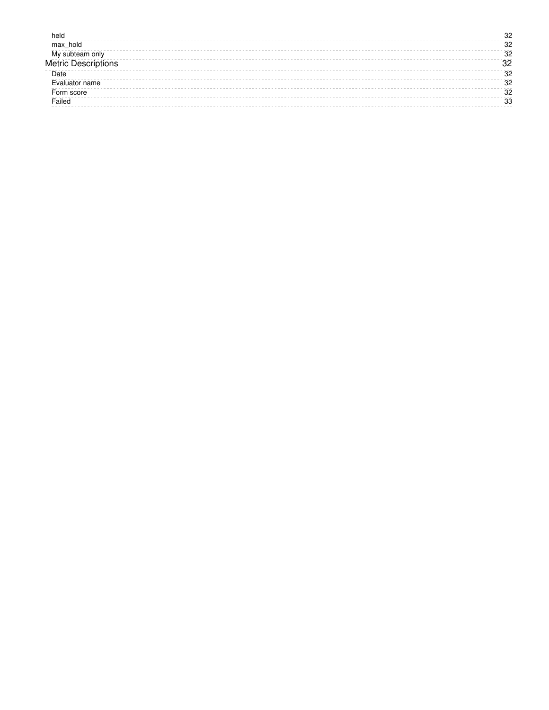| held           | 96 |
|----------------|----|
| max hold       | 32 |
| My<br>nnly     | 32 |
| Metric Desci   | ດ  |
| Date           | 32 |
| Evaluator name | 32 |
| Form score     | 32 |
| Failed         | 33 |
|                |    |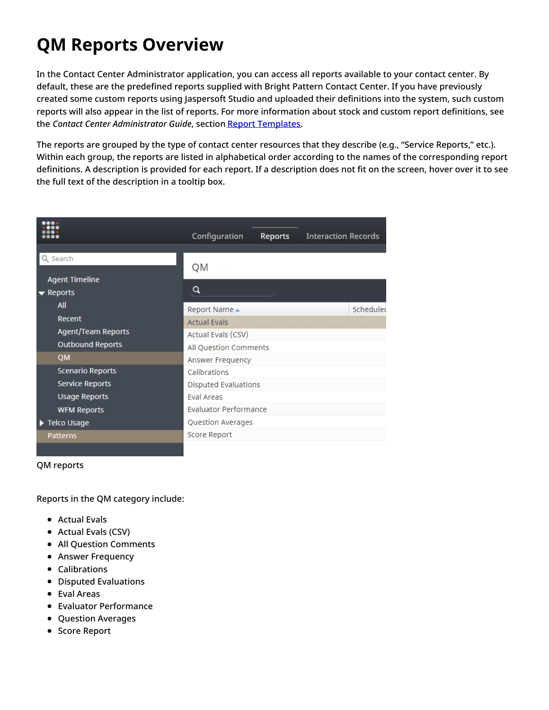# <span id="page-5-0"></span>**QM Reports Overview**

In the Contact Center Administrator application, you can access all reports available to your contact center. By default, these are the predefined reports supplied with Bright Pattern Contact Center. If you have previously created some custom reports using Jaspersoft Studio and uploaded their definitions into the system, such custom reports will also appear in the list of reports. For more information about stock and custom report definitions, see the *Contact Center Administrator Guide*, section Report [Templates](https://help.brightpattern.com/5.8:QM/Reports/?action=html-localimages-export#topic_contact-center-administrator-guide.2Freporttemplates).

The reports are grouped by the type of contact center resources that they describe (e.g., "Service Reports," etc.). Within each group, the reports are listed in alphabetical order according to the names of the corresponding report definitions. A description is provided for each report. If a description does not fit on the screen, hover over it to see the full text of the description in a tooltip box.

|                                 | Configuration                | <b>Reports</b> | <b>Interaction Records</b> |           |
|---------------------------------|------------------------------|----------------|----------------------------|-----------|
| Search<br><b>Agent Timeline</b> | QM                           |                |                            |           |
| $\blacktriangleright$ Reports   | Q                            |                |                            |           |
| <b>All</b>                      | Report Name ▲                |                |                            | Schedulec |
| Recent                          | <b>Actual Evals</b>          |                |                            |           |
| Agent/Team Reports              | Actual Evals (CSV)           |                |                            |           |
| <b>Outbound Reports</b>         | All Question Comments        |                |                            |           |
| <b>QM</b>                       | Answer Frequency             |                |                            |           |
| <b>Scenario Reports</b>         | Calibrations                 |                |                            |           |
| <b>Service Reports</b>          | <b>Disputed Evaluations</b>  |                |                            |           |
| <b>Usage Reports</b>            | Eval Areas                   |                |                            |           |
| <b>WFM Reports</b>              | <b>Evaluator Performance</b> |                |                            |           |
| Telco Usage                     | Question Averages            |                |                            |           |
| Patterns                        | Score Report                 |                |                            |           |
|                                 |                              |                |                            |           |

#### QM reports

Reports in the QM category include:

- Actual Evals
- Actual Evals (CSV)
- All Question Comments
- **Answer Frequency**
- Calibrations
- Disputed Evaluations
- Eval Areas
- Evaluator Performance
- Question Averages
- **Score Report**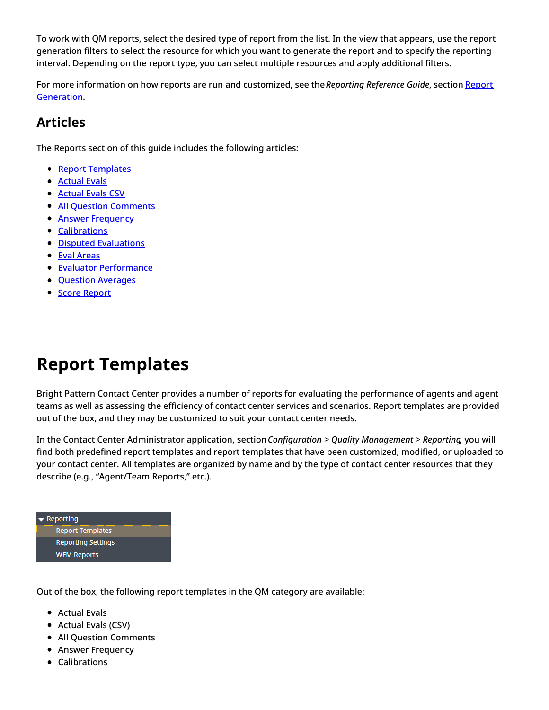To work with QM reports, select the desired type of report from the list. In the view that appears, use the report generation filters to select the resource for which you want to generate the report and to specify the reporting interval. Depending on the report type, you can select multiple resources and apply additional filters.

For more information on how reports are run and [customized,](https://help.brightpattern.com/5.8:QM/Reports/?action=html-localimages-export#topic_reporting-reference-guide.2Freportgeneration) see the*Reporting Reference Guide*, section Report Generation.

# <span id="page-6-0"></span>**Articles**

The Reports section of this guide includes the following articles:

- **Report [Templates](https://help.brightpattern.com/5.8:QM/Reports/?action=html-localimages-export#topic_qm.2Freports.2Ftemplates)**
- **[Actual](https://help.brightpattern.com/5.8:QM/Reports/?action=html-localimages-export#topic_qm.2Freports.2Factualevals) Evals**
- **[Actual](https://help.brightpattern.com/5.8:QM/Reports/?action=html-localimages-export#topic_qm.2Freports.2Factualevalscsv) Evals CSV**
- All Question [Comments](https://help.brightpattern.com/5.8:QM/Reports/?action=html-localimages-export#topic_qm.2Freports.2Fallquestioncomments)
- **Answer [Frequency](https://help.brightpattern.com/5.8:QM/Reports/?action=html-localimages-export#topic_qm.2Freports.2Fanswerfrequency)**
- **[Calibrations](https://help.brightpattern.com/5.8:QM/Reports/?action=html-localimages-export#topic_qm.2Freports.2Fcalibrations)**
- Disputed [Evaluations](https://help.brightpattern.com/5.8:QM/Reports/?action=html-localimages-export#topic_qm.2Freports.2Fdisputedevaluations)
- Eval [Areas](https://help.brightpattern.com/5.8:QM/Reports/?action=html-localimages-export#topic_qm.2Freports.2Feval_areas)
- **Evaluator [Performance](https://help.brightpattern.com/5.8:QM/Reports/?action=html-localimages-export#topic_qm.2Freports.2Fevaluatorperformance)**
- **Question [Averages](https://help.brightpattern.com/5.8:QM/Reports/?action=html-localimages-export#topic_qm.2Freports.2Fquestionaverages)**
- **Score [Report](https://help.brightpattern.com/5.8:QM/Reports/?action=html-localimages-export#topic_qm.2Freports.2Fscorereport)**

# <span id="page-6-1"></span>**Report Templates**

Bright Pattern Contact Center provides a number of reports for evaluating the performance of agents and agent teams as well as assessing the efficiency of contact center services and scenarios. Report templates are provided out of the box, and they may be customized to suit your contact center needs.

In the Contact Center Administrator application, section*Configuration > Quality Management > Reporting*, you will find both predefined report templates and report templates that have been customized, modified, or uploaded to your contact center. All templates are organized by name and by the type of contact center resources that they describe (e.g., "Agent/Team Reports," etc.).



Out of the box, the following report templates in the QM category are available:

- Actual Evals
- Actual Evals (CSV)
- All Question Comments
- **Answer Frequency**
- Calibrations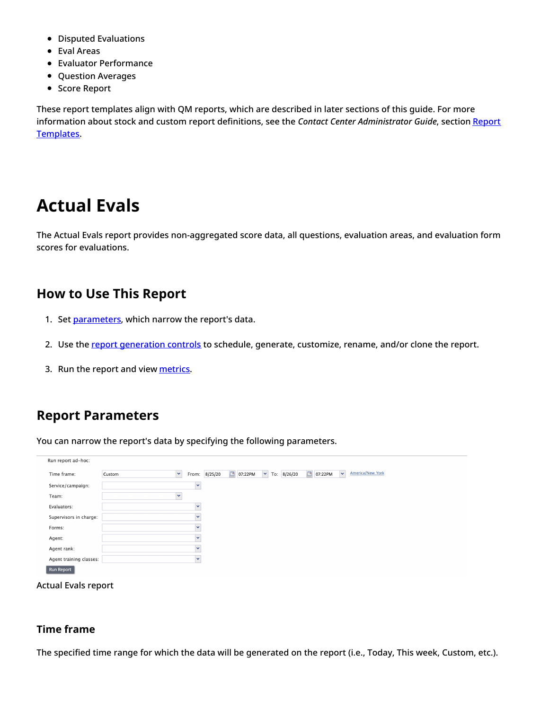- Disputed Evaluations
- Eval Areas
- Evaluator Performance
- Question Averages
- Score Report

These report templates align with QM reports, which are described in later sections of this guide. For more information about stock and custom report definitions, see the *Contact Center [Administrator](https://help.brightpattern.com/5.8:QM/Reports/?action=html-localimages-export#topic_contact-center-administrator-guide.2Freporttemplates) Guide*, section Report Templates.

# <span id="page-7-0"></span>**Actual Evals**

The Actual Evals report provides non-aggregated score data, all questions, evaluation areas, and evaluation form scores for evaluations.

# <span id="page-7-1"></span>**How to Use This Report**

- 1. Set [parameters](https://help.brightpattern.com/5.8:QM/Reports/ActualEvals#Report_Parameters), which narrow the report's data.
- 2. Use the report [generation](https://help.brightpattern.com/5.8:QM/Reports/?action=html-localimages-export#topic_qm.2Freports.2Freportgenerationcontrols) controls to schedule, generate, customize, rename, and/or clone the report.
- 3. Run the report and view [metrics](https://help.brightpattern.com/5.8:QM/Reports/ActualEvals#Metric_Descriptions).

# <span id="page-7-2"></span>**Report Parameters**

You can narrow the report's data by specifying the following parameters.

| Run report ad-hoc:      |        |              |         |                   |                                          |                   |                                             |
|-------------------------|--------|--------------|---------|-------------------|------------------------------------------|-------------------|---------------------------------------------|
| Time frame:             | Custom | v<br>From:   | 8/25/20 | $\Box$<br>07:22PM | $\boldsymbol{\mathsf{v}}$<br>To: 8/26/20 | $\Box$<br>07:22PM | America/New York<br>$\overline{\mathbf{v}}$ |
| Service/campaign:       |        | $\checkmark$ |         |                   |                                          |                   |                                             |
| Team:                   |        | $\checkmark$ |         |                   |                                          |                   |                                             |
| Evaluators:             |        | $\checkmark$ |         |                   |                                          |                   |                                             |
| Supervisors in charge:  |        | $\checkmark$ |         |                   |                                          |                   |                                             |
| Forms:                  |        | $\checkmark$ |         |                   |                                          |                   |                                             |
| Agent:                  |        | $\checkmark$ |         |                   |                                          |                   |                                             |
| Agent rank:             |        | $\checkmark$ |         |                   |                                          |                   |                                             |
| Agent training classes: |        | M            |         |                   |                                          |                   |                                             |
| <b>Run Report</b>       |        |              |         |                   |                                          |                   |                                             |

Actual Evals report

## <span id="page-7-3"></span>**Time frame**

The specified time range for which the data will be generated on the report (i.e., Today, This week, Custom, etc.).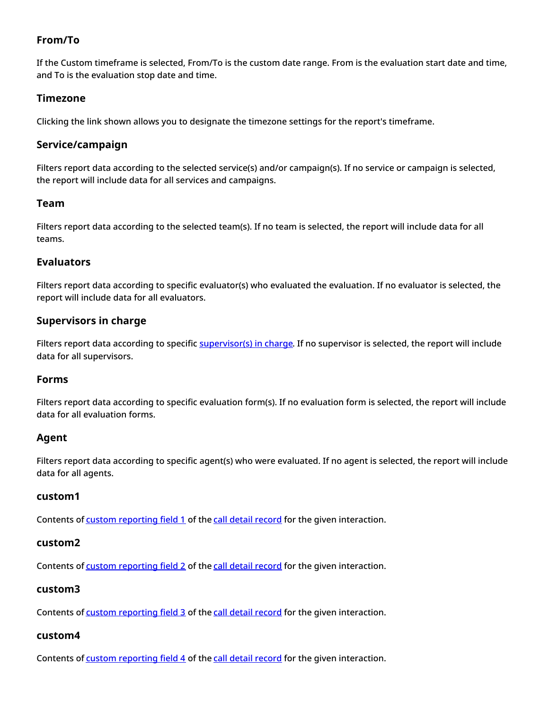# <span id="page-8-0"></span>**From/To**

If the Custom timeframe is selected, From/To is the custom date range. From is the evaluation start date and time, and To is the evaluation stop date and time.

# <span id="page-8-1"></span>**Timezone**

Clicking the link shown allows you to designate the timezone settings for the report's timeframe.

## <span id="page-8-2"></span>**Service/campaign**

Filters report data according to the selected service(s) and/or campaign(s). If no service or campaign is selected, the report will include data for all services and campaigns.

## <span id="page-8-3"></span>**Team**

Filters report data according to the selected team(s). If no team is selected, the report will include data for all teams.

# <span id="page-8-4"></span>**Evaluators**

Filters report data according to specific evaluator(s) who evaluated the evaluation. If no evaluator is selected, the report will include data for all evaluators.

# <span id="page-8-5"></span>**Supervisors in charge**

Filters report data according to specific [supervisor\(s\)](https://help.brightpattern.com/5.8:Contact-center-administrator-guide/UsersandTeams/Users#Supervisor_in_charge) in charge. If no supervisor is selected, the report will include data for all supervisors.

## <span id="page-8-6"></span>**Forms**

Filters report data according to specific evaluation form(s). If no evaluation form is selected, the report will include data for all evaluation forms.

# <span id="page-8-7"></span>**Agent**

Filters report data according to specific agent(s) who were evaluated. If no agent is selected, the report will include data for all agents.

## <span id="page-8-8"></span>**custom1**

Contents of custom [reporting](https://help.brightpattern.com/5.8:QM/Reports/?action=html-localimages-export#topic_contact-center-administrator-guide.2Fcustom.2Fcustomreportingfields) field 1 of the call detail [record](https://help.brightpattern.com/5.8:QM/Reports/?action=html-localimages-export#topic_reporting-database-specification.2Fcall_detail) for the given interaction.

#### <span id="page-8-9"></span>**custom2**

Contents of custom [reporting](https://help.brightpattern.com/5.8:QM/Reports/?action=html-localimages-export#topic_contact-center-administrator-guide.2Fcustom.2Fcustomreportingfields) field 2 of the call detail [record](https://help.brightpattern.com/5.8:QM/Reports/?action=html-localimages-export#topic_reporting-database-specification.2Fcall_detail) for the given interaction.

## <span id="page-8-10"></span>**custom3**

Contents of custom [reporting](https://help.brightpattern.com/5.8:QM/Reports/?action=html-localimages-export#topic_contact-center-administrator-guide.2Fcustom.2Fcustomreportingfields) field 3 of the call detail [record](https://help.brightpattern.com/5.8:QM/Reports/?action=html-localimages-export#topic_reporting-database-specification.2Fcall_detail) for the given interaction.

#### <span id="page-8-11"></span>**custom4**

Contents of custom [reporting](https://help.brightpattern.com/5.8:QM/Reports/?action=html-localimages-export#topic_contact-center-administrator-guide.2Fcustom.2Fcustomreportingfields) field 4 of the call detail [record](https://help.brightpattern.com/5.8:QM/Reports/?action=html-localimages-export#topic_reporting-database-specification.2Fcall_detail) for the given interaction.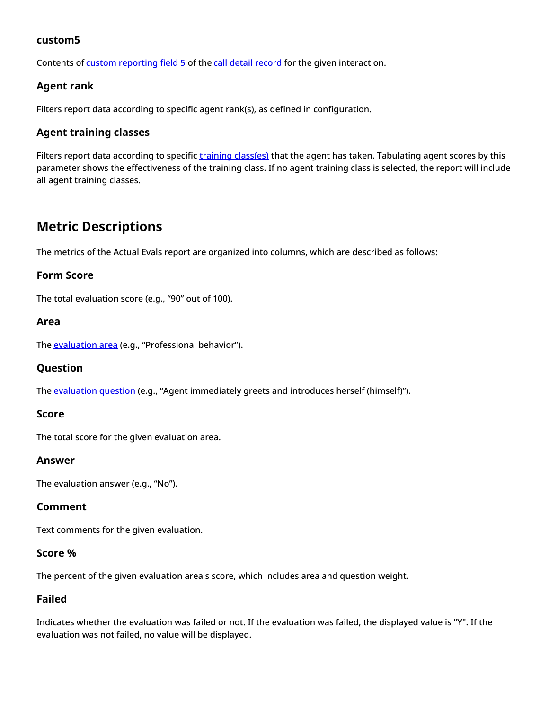# <span id="page-9-0"></span>**custom5**

Contents of custom [reporting](https://help.brightpattern.com/5.8:QM/Reports/?action=html-localimages-export#topic_contact-center-administrator-guide.2Fcustom.2Fcustomreportingfields) field 5 of the call detail [record](https://help.brightpattern.com/5.8:QM/Reports/?action=html-localimages-export#topic_reporting-database-specification.2Fcall_detail) for the given interaction.

# <span id="page-9-1"></span>**Agent rank**

Filters report data according to specific agent rank(s), as defined in configuration.

# <span id="page-9-2"></span>**Agent training classes**

Filters report data according to specific training [class\(es\)](https://help.brightpattern.com/5.8:Contact-center-administrator-guide/UsersandTeams/Users#Training_Class) that the agent has taken. Tabulating agent scores by this parameter shows the effectiveness of the training class. If no agent training class is selected, the report will include all agent training classes.

# <span id="page-9-3"></span>**Metric Descriptions**

The metrics of the Actual Evals report are organized into columns, which are described as follows:

## <span id="page-9-4"></span>**Form Score**

The total evaluation score (e.g., "90" out of 100).

#### <span id="page-9-5"></span>**Area**

The **[evaluation](https://help.brightpattern.com/5.8:QM/EvaluationForms/Areas#Evaluation_Areas) area** (e.g., "Professional behavior").

## <span id="page-9-6"></span>**Question**

The [evaluation](https://help.brightpattern.com/5.8:QM/Reports/?action=html-localimages-export#topic_qm.2Fevaluationforms.2Fquestions) question (e.g., "Agent immediately greets and introduces herself (himself)").

#### <span id="page-9-7"></span>**Score**

The total score for the given evaluation area.

#### <span id="page-9-8"></span>**Answer**

The evaluation answer (e.g., "No").

## <span id="page-9-9"></span>**Comment**

Text comments for the given evaluation.

## <span id="page-9-10"></span>**Score %**

The percent of the given evaluation area's score, which includes area and question weight.

## <span id="page-9-11"></span>**Failed**

Indicates whether the evaluation was failed or not. If the evaluation was failed, the displayed value is "Y". If the evaluation was not failed, no value will be displayed.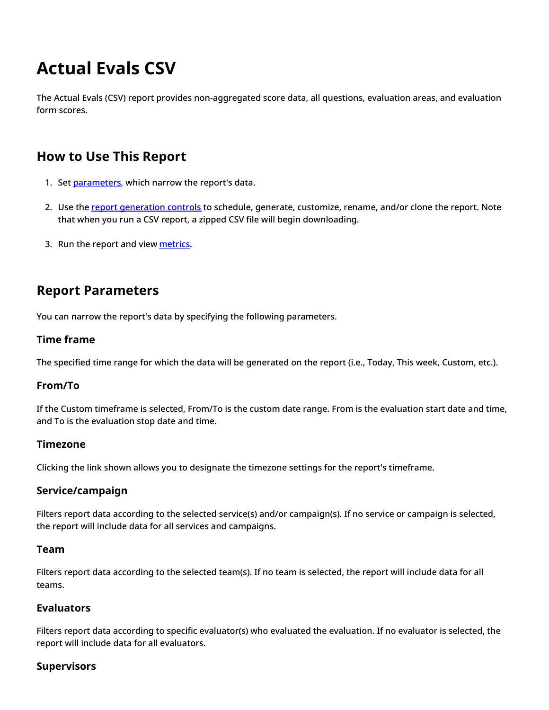# <span id="page-10-0"></span>**Actual Evals CSV**

The Actual Evals (CSV) report provides non-aggregated score data, all questions, evaluation areas, and evaluation form scores.

# <span id="page-10-1"></span>**How to Use This Report**

- 1. Set [parameters](https://help.brightpattern.com/5.8:QM/Reports/ActualEvalsCSV#Report_Parameters), which narrow the report's data.
- 2. Use the report [generation](https://help.brightpattern.com/5.8:QM/Reports/?action=html-localimages-export#topic_qm.2Freports.2Freportgenerationcontrols) controls to schedule, generate, customize, rename, and/or clone the report. Note that when you run a CSV report, a zipped CSV file will begin downloading.
- 3. Run the report and view [metrics](https://help.brightpattern.com/5.8:QM/Reports/ActualEvalsCSV#Metric_Descriptions).

# <span id="page-10-2"></span>**Report Parameters**

You can narrow the report's data by specifying the following parameters.

# <span id="page-10-3"></span>**Time frame**

The specified time range for which the data will be generated on the report (i.e., Today, This week, Custom, etc.).

# <span id="page-10-4"></span>**From/To**

If the Custom timeframe is selected, From/To is the custom date range. From is the evaluation start date and time, and To is the evaluation stop date and time.

## <span id="page-10-5"></span>**Timezone**

Clicking the link shown allows you to designate the timezone settings for the report's timeframe.

# <span id="page-10-6"></span>**Service/campaign**

Filters report data according to the selected service(s) and/or campaign(s). If no service or campaign is selected, the report will include data for all services and campaigns.

## <span id="page-10-7"></span>**Team**

Filters report data according to the selected team(s). If no team is selected, the report will include data for all teams.

## <span id="page-10-8"></span>**Evaluators**

Filters report data according to specific evaluator(s) who evaluated the evaluation. If no evaluator is selected, the report will include data for all evaluators.

## <span id="page-10-9"></span>**Supervisors**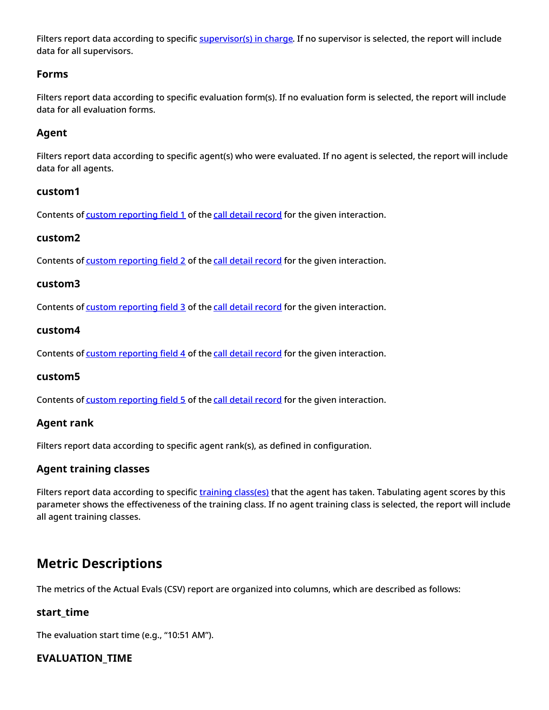Filters report data according to specific [supervisor\(s\)](https://help.brightpattern.com/5.8:Contact-center-administrator-guide/UsersandTeams/Users#Supervisor_in_charge) in charge. If no supervisor is selected, the report will include data for all supervisors.

# <span id="page-11-0"></span>**Forms**

Filters report data according to specific evaluation form(s). If no evaluation form is selected, the report will include data for all evaluation forms.

# <span id="page-11-1"></span>**Agent**

Filters report data according to specific agent(s) who were evaluated. If no agent is selected, the report will include data for all agents.

## <span id="page-11-2"></span>**custom1**

Contents of custom [reporting](https://help.brightpattern.com/5.8:QM/Reports/?action=html-localimages-export#topic_contact-center-administrator-guide.2Fcustom.2Fcustomreportingfields) field 1 of the call detail [record](https://help.brightpattern.com/5.8:QM/Reports/?action=html-localimages-export#topic_reporting-database-specification.2Fcall_detail) for the given interaction.

# <span id="page-11-3"></span>**custom2**

Contents of custom [reporting](https://help.brightpattern.com/5.8:QM/Reports/?action=html-localimages-export#topic_contact-center-administrator-guide.2Fcustom.2Fcustomreportingfields) field 2 of the call detail [record](https://help.brightpattern.com/5.8:QM/Reports/?action=html-localimages-export#topic_reporting-database-specification.2Fcall_detail) for the given interaction.

## <span id="page-11-4"></span>**custom3**

Contents of custom [reporting](https://help.brightpattern.com/5.8:QM/Reports/?action=html-localimages-export#topic_contact-center-administrator-guide.2Fcustom.2Fcustomreportingfields) field 3 of the call detail [record](https://help.brightpattern.com/5.8:QM/Reports/?action=html-localimages-export#topic_reporting-database-specification.2Fcall_detail) for the given interaction.

## <span id="page-11-5"></span>**custom4**

Contents of custom [reporting](https://help.brightpattern.com/5.8:QM/Reports/?action=html-localimages-export#topic_contact-center-administrator-guide.2Fcustom.2Fcustomreportingfields) field 4 of the call detail [record](https://help.brightpattern.com/5.8:QM/Reports/?action=html-localimages-export#topic_reporting-database-specification.2Fcall_detail) for the given interaction.

## <span id="page-11-6"></span>**custom5**

Contents of custom [reporting](https://help.brightpattern.com/5.8:QM/Reports/?action=html-localimages-export#topic_contact-center-administrator-guide.2Fcustom.2Fcustomreportingfields) field 5 of the call detail [record](https://help.brightpattern.com/5.8:QM/Reports/?action=html-localimages-export#topic_reporting-database-specification.2Fcall_detail) for the given interaction.

## <span id="page-11-7"></span>**Agent rank**

Filters report data according to specific agent rank(s), as defined in configuration.

# <span id="page-11-8"></span>**Agent training classes**

Filters report data according to specific training [class\(es\)](https://help.brightpattern.com/5.8:Contact-center-administrator-guide/UsersandTeams/Users#Training_Class) that the agent has taken. Tabulating agent scores by this parameter shows the effectiveness of the training class. If no agent training class is selected, the report will include all agent training classes.

# <span id="page-11-9"></span>**Metric Descriptions**

The metrics of the Actual Evals (CSV) report are organized into columns, which are described as follows:

# <span id="page-11-10"></span>**start\_time**

The evaluation start time (e.g., "10:51 AM").

# <span id="page-11-11"></span>**EVALUATION\_TIME**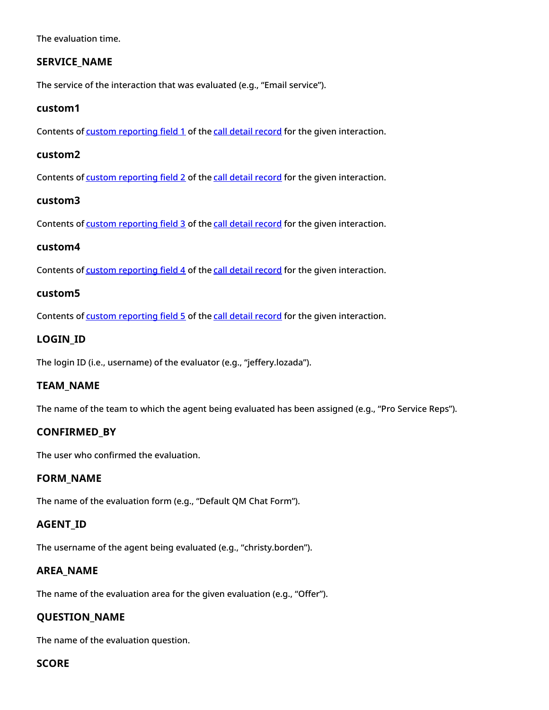The evaluation time.

# <span id="page-12-0"></span>**SERVICE\_NAME**

The service of the interaction that was evaluated (e.g., "Email service").

#### <span id="page-12-1"></span>**custom1**

Contents of custom [reporting](https://help.brightpattern.com/5.8:QM/Reports/?action=html-localimages-export#topic_contact-center-administrator-guide.2Fcustom.2Fcustomreportingfields) field 1 of the call detail [record](https://help.brightpattern.com/5.8:QM/Reports/?action=html-localimages-export#topic_reporting-database-specification.2Fcall_detail) for the given interaction.

#### <span id="page-12-2"></span>**custom2**

Contents of custom [reporting](https://help.brightpattern.com/5.8:QM/Reports/?action=html-localimages-export#topic_contact-center-administrator-guide.2Fcustom.2Fcustomreportingfields) field 2 of the call detail [record](https://help.brightpattern.com/5.8:QM/Reports/?action=html-localimages-export#topic_reporting-database-specification.2Fcall_detail) for the given interaction.

#### <span id="page-12-3"></span>**custom3**

Contents of custom [reporting](https://help.brightpattern.com/5.8:QM/Reports/?action=html-localimages-export#topic_contact-center-administrator-guide.2Fcustom.2Fcustomreportingfields) field 3 of the call detail [record](https://help.brightpattern.com/5.8:QM/Reports/?action=html-localimages-export#topic_reporting-database-specification.2Fcall_detail) for the given interaction.

#### <span id="page-12-4"></span>**custom4**

Contents of custom [reporting](https://help.brightpattern.com/5.8:QM/Reports/?action=html-localimages-export#topic_contact-center-administrator-guide.2Fcustom.2Fcustomreportingfields) field 4 of the call detail [record](https://help.brightpattern.com/5.8:QM/Reports/?action=html-localimages-export#topic_reporting-database-specification.2Fcall_detail) for the given interaction.

#### <span id="page-12-5"></span>**custom5**

Contents of custom [reporting](https://help.brightpattern.com/5.8:QM/Reports/?action=html-localimages-export#topic_contact-center-administrator-guide.2Fcustom.2Fcustomreportingfields) field 5 of the call detail [record](https://help.brightpattern.com/5.8:QM/Reports/?action=html-localimages-export#topic_reporting-database-specification.2Fcall_detail) for the given interaction.

## <span id="page-12-6"></span>**LOGIN\_ID**

The login ID (i.e., username) of the evaluator (e.g., "jeffery.lozada").

## <span id="page-12-7"></span>**TEAM\_NAME**

The name of the team to which the agent being evaluated has been assigned (e.g., "Pro Service Reps").

## <span id="page-12-8"></span>**CONFIRMED\_BY**

The user who confirmed the evaluation.

#### <span id="page-12-9"></span>**FORM\_NAME**

The name of the evaluation form (e.g., "Default QM Chat Form").

## <span id="page-12-10"></span>**AGENT\_ID**

The username of the agent being evaluated (e.g., "christy.borden").

## <span id="page-12-11"></span>**AREA\_NAME**

The name of the evaluation area for the given evaluation (e.g., "Offer").

# <span id="page-12-12"></span>**QUESTION\_NAME**

The name of the evaluation question.

## <span id="page-12-13"></span>**SCORE**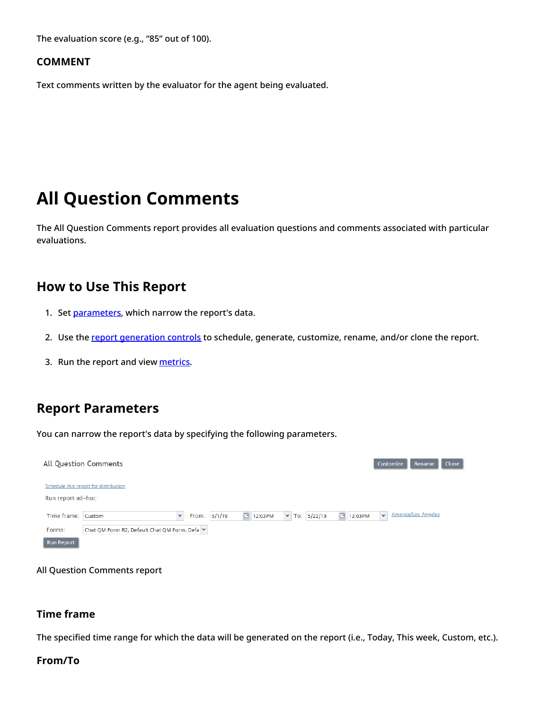The evaluation score (e.g., "85" out of 100).

#### <span id="page-13-0"></span>**COMMENT**

Text comments written by the evaluator for the agent being evaluated.

# <span id="page-13-1"></span>**All Question Comments**

The All Question Comments report provides all evaluation questions and comments associated with particular evaluations.

# <span id="page-13-2"></span>**How to Use This Report**

- 1. Set [parameters](https://help.brightpattern.com/5.8:QM/Reports/AllQuestionComments#Report_Parameters), which narrow the report's data.
- 2. Use the report [generation](https://help.brightpattern.com/5.8:QM/Reports/?action=html-localimages-export#topic_qm.2Freports.2Freportgenerationcontrols) controls to schedule, generate, customize, rename, and/or clone the report.
- 3. Run the report and view [metrics](https://help.brightpattern.com/5.8:QM/Reports/AllQuestionComments#Metric_Descriptions).

# <span id="page-13-3"></span>**Report Parameters**

You can narrow the report's data by specifying the following parameters.

|                    | <b>All Question Comments</b>                  |              |              |         |                                   |                   | Clone<br>Customize<br>Rename       |
|--------------------|-----------------------------------------------|--------------|--------------|---------|-----------------------------------|-------------------|------------------------------------|
| Run report ad-hoc: | Schedule this report for distribution         |              |              |         |                                   |                   |                                    |
| Time frame: Custom |                                               | $\checkmark$ | From: 5/1/19 | 12:03PM | $\blacktriangleright$ To: 5/22/19 | $\Box$<br>12:03PM | America/Los Angeles<br>$\ddotmark$ |
| Forms:             | Chat QM Form R2, Default Chat QM Form, Defa v |              |              |         |                                   |                   |                                    |
| <b>Run Report</b>  |                                               |              |              |         |                                   |                   |                                    |

All Question Comments report

#### <span id="page-13-4"></span>**Time frame**

The specified time range for which the data will be generated on the report (i.e., Today, This week, Custom, etc.).

#### <span id="page-13-5"></span>**From/To**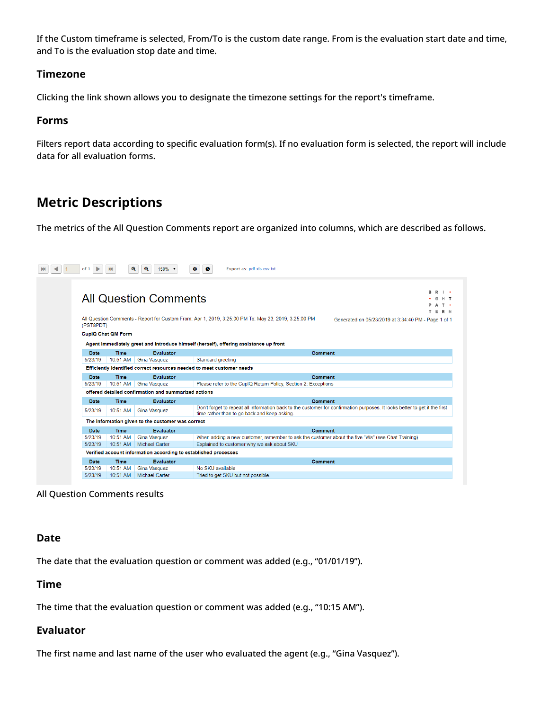If the Custom timeframe is selected, From/To is the custom date range. From is the evaluation start date and time, and To is the evaluation stop date and time.

## <span id="page-14-0"></span>**Timezone**

Clicking the link shown allows you to designate the timezone settings for the report's timeframe.

## <span id="page-14-1"></span>**Forms**

Filters report data according to specific evaluation form(s). If no evaluation form is selected, the report will include data for all evaluation forms.

# <span id="page-14-2"></span>**Metric Descriptions**

The metrics of the All Question Comments report are organized into columns, which are described as follows.



All Question Comments results

## <span id="page-14-3"></span>**Date**

The date that the evaluation question or comment was added (e.g., "01/01/19").

## <span id="page-14-4"></span>**Time**

The time that the evaluation question or comment was added (e.g., "10:15 AM").

## <span id="page-14-5"></span>**Evaluator**

The first name and last name of the user who evaluated the agent (e.g., "Gina Vasquez").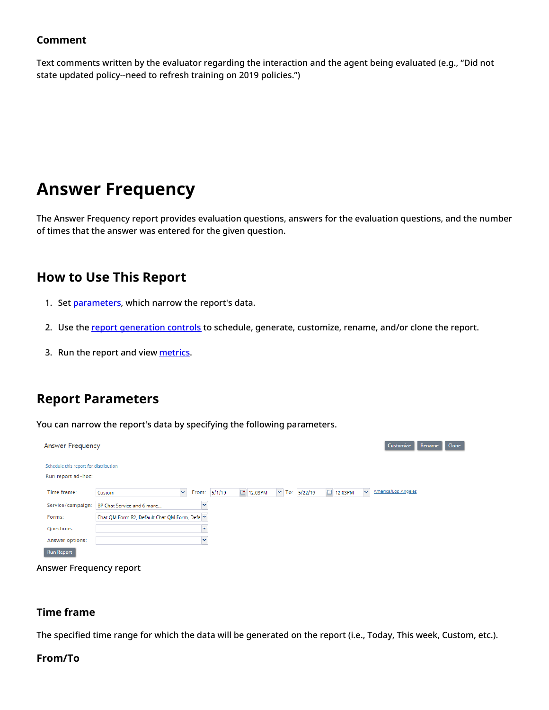# <span id="page-15-0"></span>**Comment**

Text comments written by the evaluator regarding the interaction and the agent being evaluated (e.g., "Did not state updated policy--need to refresh training on 2019 policies.")

# <span id="page-15-1"></span>**Answer Frequency**

The Answer Frequency report provides evaluation questions, answers for the evaluation questions, and the number of times that the answer was entered for the given question.

# <span id="page-15-2"></span>**How to Use This Report**

- 1. Set [parameters](https://help.brightpattern.com/5.8:QM/Reports/AnswerFrequency#Report_Parameters), which narrow the report's data.
- 2. Use the report [generation](https://help.brightpattern.com/5.8:QM/Reports/?action=html-localimages-export#topic_qm.2Freports.2Freportgenerationcontrols) controls to schedule, generate, customize, rename, and/or clone the report.
- 3. Run the report and view [metrics](https://help.brightpattern.com/index.php?title=5.4:QM/Reports/AnswerFrequency&action=edit&redlink=1).

# <span id="page-15-3"></span>**Report Parameters**

You can narrow the report's data by specifying the following parameters.

| Answer Frequency                                            | Customize<br><b>Clone</b><br>Rename                                                                                                 |
|-------------------------------------------------------------|-------------------------------------------------------------------------------------------------------------------------------------|
| Schedule this report for distribution<br>Run report ad-hoc: |                                                                                                                                     |
| Time frame:                                                 | America/Los Angeles<br>$\mathbf{v}$<br>$\triangleright$ To: 5/22/19<br>12:03PM<br>12:03PM<br>$\mathbf{v}$<br>From: 5/1/19<br>Custom |
| Service/campaign:                                           | BP Chat Service and 6 more<br>v                                                                                                     |
| Forms:                                                      | Chat QM Form R2, Default Chat QM Form, Defa Y                                                                                       |
| Questions:                                                  | $\checkmark$                                                                                                                        |
| Answer options:                                             | $\checkmark$                                                                                                                        |
| <b>Run Report</b>                                           |                                                                                                                                     |



#### <span id="page-15-4"></span>**Time frame**

The specified time range for which the data will be generated on the report (i.e., Today, This week, Custom, etc.).

#### <span id="page-15-5"></span>**From/To**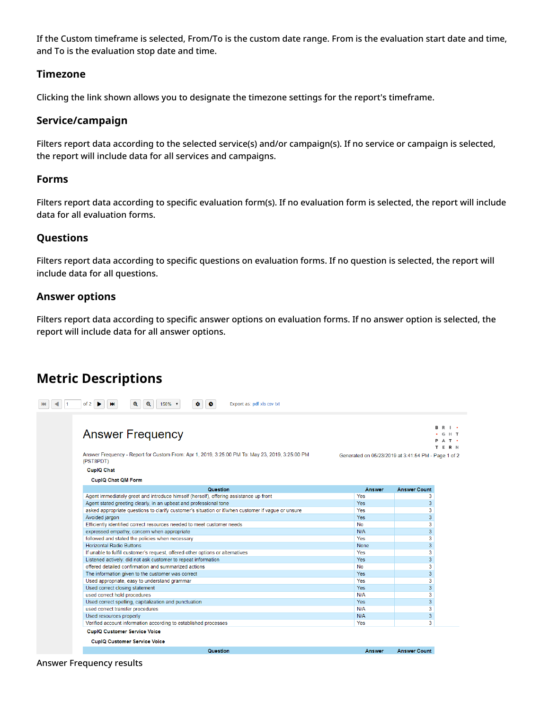If the Custom timeframe is selected, From/To is the custom date range. From is the evaluation start date and time, and To is the evaluation stop date and time.

#### <span id="page-16-0"></span>**Timezone**

Clicking the link shown allows you to designate the timezone settings for the report's timeframe.

## <span id="page-16-1"></span>**Service/campaign**

Filters report data according to the selected service(s) and/or campaign(s). If no service or campaign is selected, the report will include data for all services and campaigns.

#### <span id="page-16-2"></span>**Forms**

Filters report data according to specific evaluation form(s). If no evaluation form is selected, the report will include data for all evaluation forms.

## <span id="page-16-3"></span>**Questions**

Filters report data according to specific questions on evaluation forms. If no question is selected, the report will include data for all questions.

## <span id="page-16-4"></span>**Answer options**

Filters report data according to specific answer options on evaluation forms. If no answer option is selected, the report will include data for all answer options.

# <span id="page-16-5"></span>**Metric Descriptions**

| <b>Answer Frequency</b>                                                                                      |               | <b>B</b> R I .<br>AT.<br>TERN                       |
|--------------------------------------------------------------------------------------------------------------|---------------|-----------------------------------------------------|
| Answer Frequency - Report for Custom From: Apr 1, 2019, 3:25:00 PM To: May 23, 2019, 3:25:00 PM<br>(PST8PDT) |               | Generated on 05/23/2019 at 3:41:54 PM - Page 1 of 2 |
| <b>CupIQ Chat</b>                                                                                            |               |                                                     |
| <b>CupIQ Chat QM Form</b>                                                                                    |               |                                                     |
| Question                                                                                                     | <b>Answer</b> | <b>Answer Count</b>                                 |
| Agent immediately greet and introduce himself (herself), offering assistance up front                        | Yes           | 3                                                   |
| Agent stated greeting clearly, in an upbeat and professional tone                                            | Yes           | 3                                                   |
| asked appropriate questions to clarify customer's situation or if/when customer if vaque or unsure           | Yes           | 3                                                   |
| Avoided jargon                                                                                               | <b>Yes</b>    | 3                                                   |
| Efficiently identified correct resources needed to meet customer needs                                       | <b>No</b>     | 3                                                   |
| expressed empathy, concern when appropriate                                                                  | N/A           | 3                                                   |
| followed and stated the policies when necessary                                                              | Yes           | 3                                                   |
| <b>Horizontal Radio Buttons</b>                                                                              | None          | 3                                                   |
| If unable to fulfill customer's request, offered other options or alternatives                               | Yes           | 3                                                   |
| Listened actively: did not ask customer to repeat information                                                | Yes           | 3                                                   |
| offered detailed confirmation and summarized actions                                                         | <b>No</b>     | 3                                                   |
| The information given to the customer was correct                                                            | Yes           | 3                                                   |
| Used appropriate, easy to understand grammar                                                                 | Yes           | 3                                                   |
| Used correct closing statement                                                                               | Yes           | 3                                                   |
| used correct hold procedures                                                                                 | N/A           | 3                                                   |
| Used correct spelling, capitalization and punctuation                                                        | Yes           | 3                                                   |
| used correct transfer procedures                                                                             | N/A           | 3                                                   |
| Used resources properly                                                                                      | N/A           | 3                                                   |
| Verified account information according to established processes                                              | Yes           | 3                                                   |

Answer Frequency results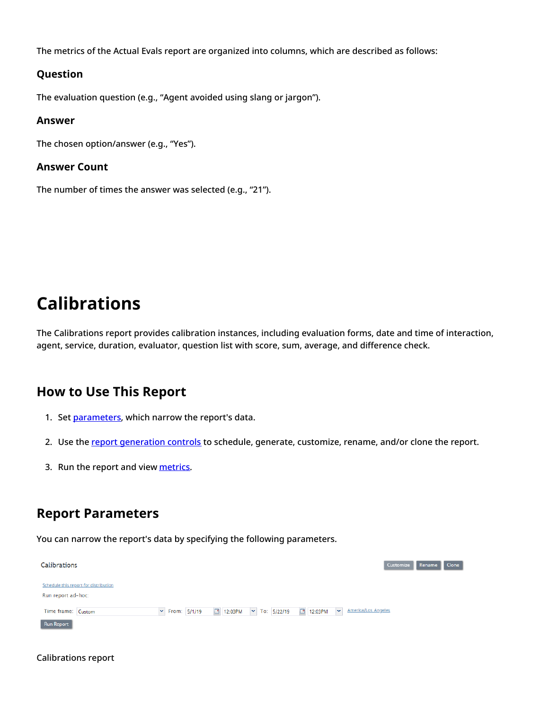The metrics of the Actual Evals report are organized into columns, which are described as follows:

#### <span id="page-17-0"></span>**Question**

The evaluation question (e.g., "Agent avoided using slang or jargon").

#### <span id="page-17-1"></span>**Answer**

The chosen option/answer (e.g., "Yes").

#### <span id="page-17-2"></span>**Answer Count**

The number of times the answer was selected (e.g., "21").

# <span id="page-17-3"></span>**Calibrations**

The Calibrations report provides calibration instances, including evaluation forms, date and time of interaction, agent, service, duration, evaluator, question list with score, sum, average, and difference check.

# <span id="page-17-4"></span>**How to Use This Report**

- 1. Set [parameters](https://help.brightpattern.com/5.8:QM/Reports/Calibrations#Report_Parameters), which narrow the report's data.
- 2. Use the report [generation](https://help.brightpattern.com/5.8:QM/Reports/?action=html-localimages-export#topic_qm.2Freports.2Freportgenerationcontrols) controls to schedule, generate, customize, rename, and/or clone the report.
- 3. Run the report and view [metrics](https://help.brightpattern.com/5.8:QM/Reports/Calibrations#Metric_Descriptions).

# <span id="page-17-5"></span>**Report Parameters**

You can narrow the report's data by specifying the following parameters.

| Schedule this report for distribution<br>Run report ad-hoc:               |                                                                         |
|---------------------------------------------------------------------------|-------------------------------------------------------------------------|
| 12:03PM 	v To: 5/22/19<br>$\mathsf{v}$ From: 5/1/19<br>Time frame: Custom | $\vert \mathbf{v} \vert$<br>America/Los Angeles<br><sup>3</sup> 12:03PM |

#### Calibrations report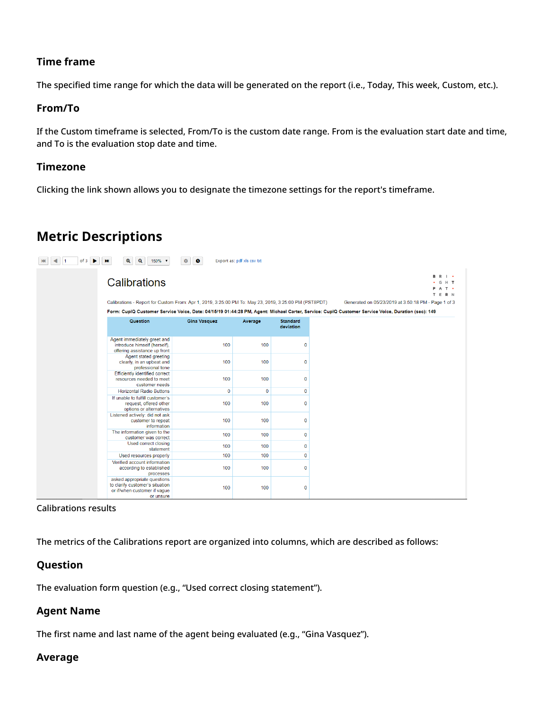# <span id="page-18-0"></span>**Time frame**

The specified time range for which the data will be generated on the report (i.e., Today, This week, Custom, etc.).

# <span id="page-18-1"></span>**From/To**

If the Custom timeframe is selected, From/To is the custom date range. From is the evaluation start date and time, and To is the evaluation stop date and time.

# <span id="page-18-2"></span>**Timezone**

Clicking the link shown allows you to designate the timezone settings for the report's timeframe.

# <span id="page-18-3"></span>**Metric Descriptions**

| of 3 | $\mathbf{a}$<br>$\mathbf{Q}$<br><b>MI</b><br>150% +                                                                   | $\bullet$<br>٠      | Export as: pdf xls csv txt |                              |                                                                                                                                                   |
|------|-----------------------------------------------------------------------------------------------------------------------|---------------------|----------------------------|------------------------------|---------------------------------------------------------------------------------------------------------------------------------------------------|
|      | Calibrations<br>Calibrations - Report for Custom From: Apr 1, 2019, 3:25:00 PM To: May 23, 2019, 3:25:00 PM (PST8PDT) |                     |                            |                              | <b>B</b> R I .<br>G H T<br>PAT .<br>T E R N<br>Generated on 05/23/2019 at 3:50:18 PM - Page 1 of 3                                                |
|      |                                                                                                                       |                     |                            |                              | Form: CupIQ Customer Service Voice, Date: 04/15/19 01:44:28 PM, Agent: Michael Carter, Service: CupIQ Customer Service Voice, Duration (sec): 149 |
|      | <b>Question</b>                                                                                                       | <b>Gina Vasquez</b> | Average                    | <b>Standard</b><br>deviation |                                                                                                                                                   |
|      | Agent immediately greet and<br>introduce himself (herself).<br>offering assistance up front                           | 100                 | 100                        | $\overline{0}$               |                                                                                                                                                   |
|      | Agent stated greeting<br>clearly, in an upbeat and<br>professional tone                                               | 100                 | 100                        | $\mathbf 0$                  |                                                                                                                                                   |
|      | <b>Efficiently identified correct</b><br>resources needed to meet<br>customer needs                                   | 100                 | 100                        | $\mathbf 0$                  |                                                                                                                                                   |
|      | <b>Horizontal Radio Buttons</b>                                                                                       | $\mathbf{0}$        | $\mathbf{0}$               | $\mathbf 0$                  |                                                                                                                                                   |
|      | If unable to fulfill customer's<br>request, offered other<br>options or alternatives                                  | 100                 | 100                        | $\mathbf 0$                  |                                                                                                                                                   |
|      | Listened actively: did not ask<br>customer to repeat<br>information                                                   | 100                 | 100                        | $\mathbf 0$                  |                                                                                                                                                   |
|      | The information given to the<br>customer was correct                                                                  | 100                 | 100                        | $\mathbf 0$                  |                                                                                                                                                   |
|      | Used correct closing<br>statement                                                                                     | 100                 | 100                        | $\mathbf 0$                  |                                                                                                                                                   |
|      | Used resources properly                                                                                               | 100                 | 100                        | $\bf{0}$                     |                                                                                                                                                   |
|      | Verified account information<br>according to established<br>processes                                                 | 100                 | 100                        | $\overline{0}$               |                                                                                                                                                   |
|      | asked appropriate questions<br>to clarify customer's situation<br>or if/when customer if vaque<br>or unsure           | 100                 | 100                        | $\mathbf 0$                  |                                                                                                                                                   |

#### Calibrations results

The metrics of the Calibrations report are organized into columns, which are described as follows:

# <span id="page-18-4"></span>**Question**

The evaluation form question (e.g., "Used correct closing statement").

# <span id="page-18-5"></span>**Agent Name**

The first name and last name of the agent being evaluated (e.g., "Gina Vasquez").

## <span id="page-18-6"></span>**Average**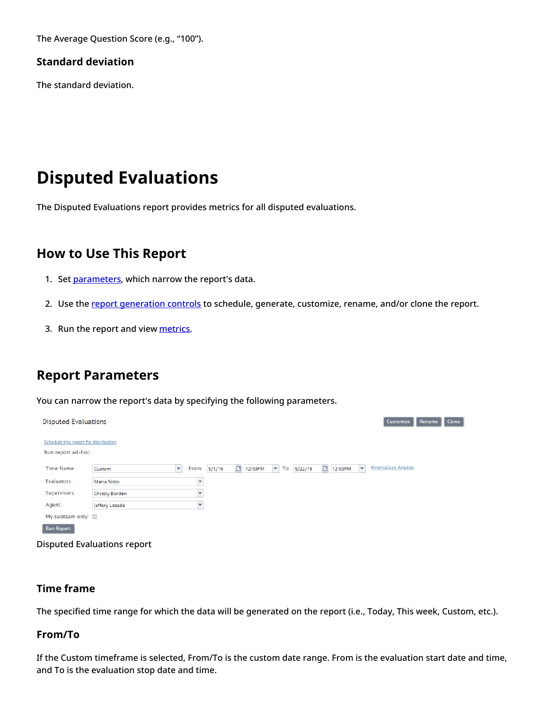The Average Question Score (e.g., "100").

# <span id="page-19-0"></span>**Standard deviation**

The standard deviation.

# <span id="page-19-1"></span>**Disputed Evaluations**

The Disputed Evaluations report provides metrics for all disputed evaluations.

# <span id="page-19-2"></span>**How to Use This Report**

- 1. Set [parameters](https://help.brightpattern.com/5.8:QM/Reports/DisputedEvaluations#Report_Parameters), which narrow the report's data.
- 2. Use the report [generation](https://help.brightpattern.com/5.8:QM/Reports/?action=html-localimages-export#topic_qm.2Freports.2Freportgenerationcontrols) controls to schedule, generate, customize, rename, and/or clone the report.
- 3. Run the report and view [metrics](https://help.brightpattern.com/5.8:QM/Reports/DisputedEvaluations#Metric_Descriptions).

# <span id="page-19-3"></span>**Report Parameters**

You can narrow the report's data by specifying the following parameters.

| <b>Disputed Evaluations</b>                                 |                       |                   |                     |                                     |                      | Customize<br>Rename                             | Clone |
|-------------------------------------------------------------|-----------------------|-------------------|---------------------|-------------------------------------|----------------------|-------------------------------------------------|-------|
| Schedule this report for distribution<br>Run report ad-hoc: |                       |                   |                     |                                     |                      |                                                 |       |
| Time frame:                                                 | Custom                | Y<br>From: 5/1/19 | $\boxed{2}$ 12:03PM | $\blacktriangledown$<br>To: 5/22/19 | <sup>3</sup> 12:03PM | $\vert \mathbf{v} \vert$<br>America/Los Angeles |       |
| Evaluators:                                                 | Maria Solov           | $\checkmark$      |                     |                                     |                      |                                                 |       |
| Supervisors:                                                | <b>Christy Borden</b> | $\checkmark$      |                     |                                     |                      |                                                 |       |
| Agent:                                                      | Jeffery Lozada        | $\checkmark$      |                     |                                     |                      |                                                 |       |
| My subteam only:                                            |                       |                   |                     |                                     |                      |                                                 |       |
| <b>Run Report</b>                                           |                       |                   |                     |                                     |                      |                                                 |       |
|                                                             |                       |                   |                     |                                     |                      |                                                 |       |

Disputed Evaluations report

# <span id="page-19-4"></span>**Time frame**

The specified time range for which the data will be generated on the report (i.e., Today, This week, Custom, etc.).

## <span id="page-19-5"></span>**From/To**

If the Custom timeframe is selected, From/To is the custom date range. From is the evaluation start date and time, and To is the evaluation stop date and time.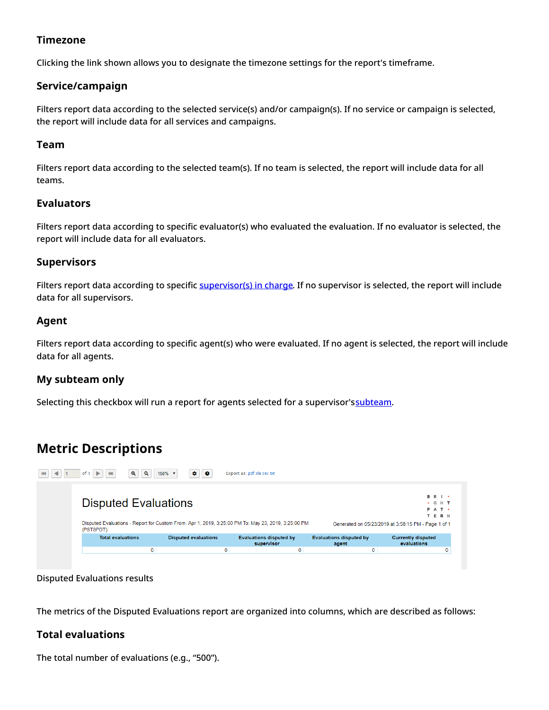# <span id="page-20-0"></span>**Timezone**

Clicking the link shown allows you to designate the timezone settings for the report's timeframe.

# <span id="page-20-1"></span>**Service/campaign**

Filters report data according to the selected service(s) and/or campaign(s). If no service or campaign is selected, the report will include data for all services and campaigns.

## <span id="page-20-2"></span>**Team**

Filters report data according to the selected team(s). If no team is selected, the report will include data for all teams.

# <span id="page-20-3"></span>**Evaluators**

Filters report data according to specific evaluator(s) who evaluated the evaluation. If no evaluator is selected, the report will include data for all evaluators.

# <span id="page-20-4"></span>**Supervisors**

Filters report data according to specific [supervisor\(s\)](https://help.brightpattern.com/5.8:Contact-center-administrator-guide/UsersandTeams/Users#Supervisor_in_charge) in charge. If no supervisor is selected, the report will include data for all supervisors.

# <span id="page-20-5"></span>**Agent**

Filters report data according to specific agent(s) who were evaluated. If no agent is selected, the report will include data for all agents.

# <span id="page-20-6"></span>**My subteam only**

Selecting this checkbox will run a report for agents selected for a supervisor's[subteam](https://help.brightpattern.com/5.8:QM/Reports/?action=html-localimages-export#topic_supervisor-guide.2Fagentmetricsview).

# <span id="page-20-7"></span>**Metric Descriptions**

| of 1<br>$\blacktriangleright$<br>M | $\mathbf{\mathfrak{a}}$<br>$\mathbf{Q}$<br>150% $\blacktriangledown$ | ۰<br>$\bullet$              |   | Export as: pdf xls csv txt                                                                          |                                         |                                                                                                         |
|------------------------------------|----------------------------------------------------------------------|-----------------------------|---|-----------------------------------------------------------------------------------------------------|-----------------------------------------|---------------------------------------------------------------------------------------------------------|
| (PST8PDT)                          | <b>Disputed Evaluations</b>                                          |                             |   | Disputed Evaluations - Report for Custom From: Apr 1, 2019, 3:25:00 PM To: May 23, 2019, 3:25:00 PM |                                         | <b>B</b> R I .<br>$\cdot$ G H T<br>PAT .<br>TERN<br>Generated on 05/23/2019 at 3:58:15 PM - Page 1 of 1 |
| <b>Total evaluations</b>           |                                                                      | <b>Disputed evaluations</b> |   | <b>Evaluations disputed by</b><br>supervisor                                                        | <b>Evaluations disputed by</b><br>agent | <b>Currently disputed</b><br>evaluations                                                                |
|                                    | 0                                                                    |                             | 0 | 0                                                                                                   | 0                                       | 0                                                                                                       |

Disputed Evaluations results

The metrics of the Disputed Evaluations report are organized into columns, which are described as follows:

# <span id="page-20-8"></span>**Total evaluations**

The total number of evaluations (e.g., "500").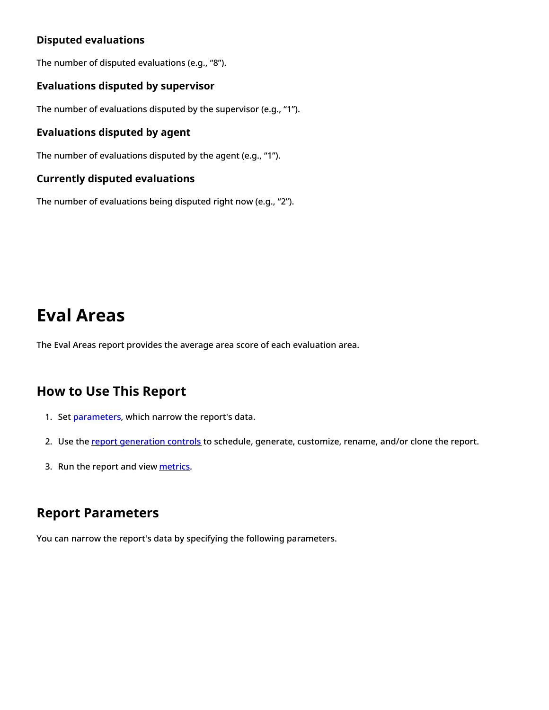# <span id="page-21-0"></span>**Disputed evaluations**

The number of disputed evaluations (e.g., "8").

# <span id="page-21-1"></span>**Evaluations disputed by supervisor**

The number of evaluations disputed by the supervisor (e.g., "1").

# <span id="page-21-2"></span>**Evaluations disputed by agent**

The number of evaluations disputed by the agent (e.g., "1").

## <span id="page-21-3"></span>**Currently disputed evaluations**

The number of evaluations being disputed right now (e.g., "2").

# <span id="page-21-4"></span>**Eval Areas**

The Eval Areas report provides the average area score of each evaluation area.

# <span id="page-21-5"></span>**How to Use This Report**

- 1. Set [parameters](https://help.brightpattern.com/5.8:QM/Reports/Eval_Areas#Report_Parameters), which narrow the report's data.
- 2. Use the report [generation](https://help.brightpattern.com/5.8:QM/Reports/?action=html-localimages-export#topic_qm.2Freports.2Freportgenerationcontrols) controls to schedule, generate, customize, rename, and/or clone the report.
- 3. Run the report and view [metrics](https://help.brightpattern.com/5.8:QM/Reports/Eval_Areas#Metric_Descriptions).

# <span id="page-21-6"></span>**Report Parameters**

You can narrow the report's data by specifying the following parameters.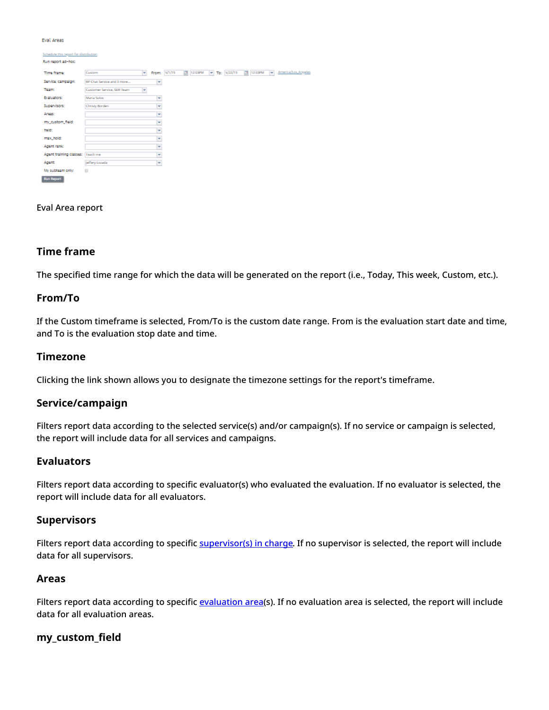Eval Areas

| Schedule this report for distribution |                                 |   |              |           |             |             |           |                               |
|---------------------------------------|---------------------------------|---|--------------|-----------|-------------|-------------|-----------|-------------------------------|
| Run report ad-hoc:                    |                                 |   |              |           |             |             |           |                               |
| Time frame:                           | Custom<br>×                     |   | Fram: 5/1/19 | 图 12:03PM | <b>Mark</b> | To: 5/22/19 | 图 12:03PM | America/Los Angeles<br>$\sim$ |
| Service/campaign:                     | BP Chat Service and 3 more      | × |              |           |             |             |           |                               |
| <b>Team:</b>                          | Customer Service, SDR Team<br>× |   |              |           |             |             |           |                               |
| Evaluators:                           | Maria Solov                     | × |              |           |             |             |           |                               |
| Supervisors:                          | Christy Borden                  | Y |              |           |             |             |           |                               |
| Areas:                                |                                 | × |              |           |             |             |           |                               |
| my_custom_field:                      |                                 | × |              |           |             |             |           |                               |
| held:                                 |                                 | v |              |           |             |             |           |                               |
| max_hold:                             |                                 | × |              |           |             |             |           |                               |
| Agent rank:                           |                                 | × |              |           |             |             |           |                               |
| Agent training classes: Teach me      |                                 | ¥ |              |           |             |             |           |                               |
| Agent                                 | Jeffery Lozada                  | × |              |           |             |             |           |                               |
| My subteam only:                      | $\Box$                          |   |              |           |             |             |           |                               |
| <b>Run Report</b>                     |                                 |   |              |           |             |             |           |                               |

#### Eval Area report

#### <span id="page-22-0"></span>**Time frame**

The specified time range for which the data will be generated on the report (i.e., Today, This week, Custom, etc.).

#### <span id="page-22-1"></span>**From/To**

If the Custom timeframe is selected, From/To is the custom date range. From is the evaluation start date and time, and To is the evaluation stop date and time.

#### <span id="page-22-2"></span>**Timezone**

Clicking the link shown allows you to designate the timezone settings for the report's timeframe.

#### <span id="page-22-3"></span>**Service/campaign**

Filters report data according to the selected service(s) and/or campaign(s). If no service or campaign is selected, the report will include data for all services and campaigns.

#### <span id="page-22-4"></span>**Evaluators**

Filters report data according to specific evaluator(s) who evaluated the evaluation. If no evaluator is selected, the report will include data for all evaluators.

#### <span id="page-22-5"></span>**Supervisors**

Filters report data according to specific [supervisor\(s\)](https://help.brightpattern.com/5.8:Contact-center-administrator-guide/UsersandTeams/Users#Supervisor_in_charge) in charge. If no supervisor is selected, the report will include data for all supervisors.

#### <span id="page-22-6"></span>**Areas**

Filters report data according to specific [evaluation](https://help.brightpattern.com/5.8:QM/EvaluationForms/Areas#Evaluation_Areas) area(s). If no evaluation area is selected, the report will include data for all evaluation areas.

#### <span id="page-22-7"></span>**my\_custom\_field**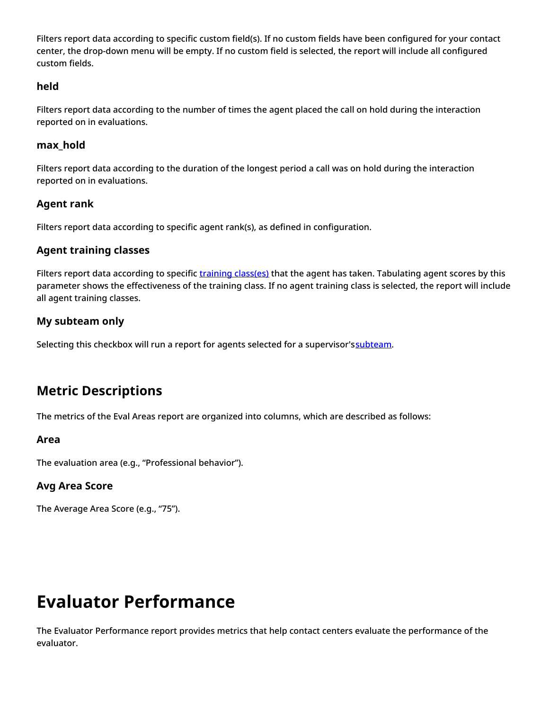Filters report data according to specific custom field(s). If no custom fields have been configured for your contact center, the drop-down menu will be empty. If no custom field is selected, the report will include all configured custom fields.

# <span id="page-23-0"></span>**held**

Filters report data according to the number of times the agent placed the call on hold during the interaction reported on in evaluations.

# <span id="page-23-1"></span>**max\_hold**

Filters report data according to the duration of the longest period a call was on hold during the interaction reported on in evaluations.

# <span id="page-23-2"></span>**Agent rank**

Filters report data according to specific agent rank(s), as defined in configuration.

# <span id="page-23-3"></span>**Agent training classes**

Filters report data according to specific training [class\(es\)](https://help.brightpattern.com/5.8:Contact-center-administrator-guide/UsersandTeams/Users#Training_Class) that the agent has taken. Tabulating agent scores by this parameter shows the effectiveness of the training class. If no agent training class is selected, the report will include all agent training classes.

# <span id="page-23-4"></span>**My subteam only**

Selecting this checkbox will run a report for agents selected for a supervisor's[subteam](https://help.brightpattern.com/5.8:QM/Reports/?action=html-localimages-export#topic_supervisor-guide.2Fagentmetricsview).

# <span id="page-23-5"></span>**Metric Descriptions**

The metrics of the Eval Areas report are organized into columns, which are described as follows:

# <span id="page-23-6"></span>**Area**

The evaluation area (e.g., "Professional behavior").

# <span id="page-23-7"></span>**Avg Area Score**

The Average Area Score (e.g., "75").

# <span id="page-23-8"></span>**Evaluator Performance**

The Evaluator Performance report provides metrics that help contact centers evaluate the performance of the evaluator.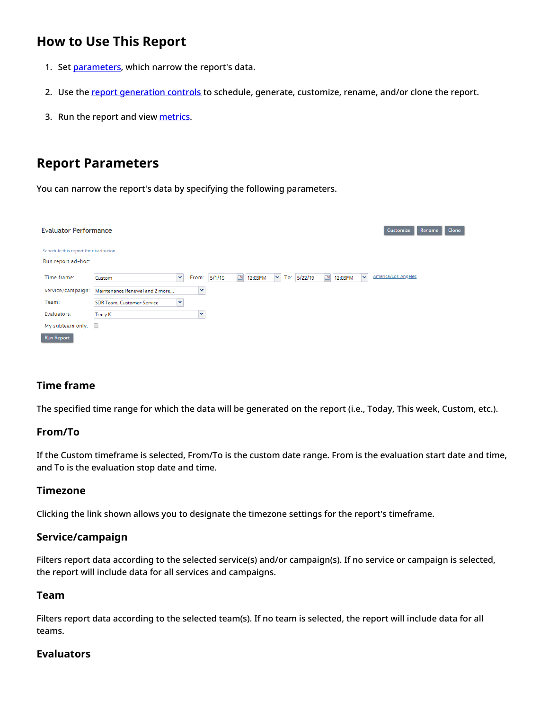# <span id="page-24-0"></span>**How to Use This Report**

- 1. Set [parameters](https://help.brightpattern.com/5.8:QM/Reports/EvaluatorPerformance#Report_Parameters), which narrow the report's data.
- 2. Use the report [generation](https://help.brightpattern.com/5.8:QM/Reports/?action=html-localimages-export#topic_qm.2Freports.2Freportgenerationcontrols) controls to schedule, generate, customize, rename, and/or clone the report.
- 3. Run the report and view [metrics](https://help.brightpattern.com/5.8:QM/Reports/EvaluatorPerformance#Metric_Descriptions).

# <span id="page-24-1"></span>**Report Parameters**

You can narrow the report's data by specifying the following parameters.

| <b>Evaluator Performance</b>                                |                                   |   |              |                   |                          |               |                   |              | Customize           | Rename<br><b>Clone</b> |
|-------------------------------------------------------------|-----------------------------------|---|--------------|-------------------|--------------------------|---------------|-------------------|--------------|---------------------|------------------------|
| Schedule this report for distribution<br>Run report ad-hoc: |                                   |   |              |                   |                          |               |                   |              |                     |                        |
| Time frame:                                                 | Custom                            | × | From: 5/1/19 | $\Box$<br>12:03PM | $\vert \mathbf{v} \vert$ | To: $5/22/19$ | $\Box$<br>12:03PM | $\mathbf{v}$ | America/Los Angeles |                        |
| Service/campaign:                                           | Maintenance Renewal and 2 more    | × |              |                   |                          |               |                   |              |                     |                        |
| Team:                                                       | <b>SDR Team, Customer Service</b> | × |              |                   |                          |               |                   |              |                     |                        |
| Evaluators:                                                 | <b>Tracy K</b>                    | × |              |                   |                          |               |                   |              |                     |                        |
| My subteam only: $\square$                                  |                                   |   |              |                   |                          |               |                   |              |                     |                        |
| <b>Run Report</b>                                           |                                   |   |              |                   |                          |               |                   |              |                     |                        |

# <span id="page-24-2"></span>**Time frame**

The specified time range for which the data will be generated on the report (i.e., Today, This week, Custom, etc.).

## <span id="page-24-3"></span>**From/To**

If the Custom timeframe is selected, From/To is the custom date range. From is the evaluation start date and time, and To is the evaluation stop date and time.

## <span id="page-24-4"></span>**Timezone**

Clicking the link shown allows you to designate the timezone settings for the report's timeframe.

## <span id="page-24-5"></span>**Service/campaign**

Filters report data according to the selected service(s) and/or campaign(s). If no service or campaign is selected, the report will include data for all services and campaigns.

## <span id="page-24-6"></span>**Team**

Filters report data according to the selected team(s). If no team is selected, the report will include data for all teams.

## <span id="page-24-7"></span>**Evaluators**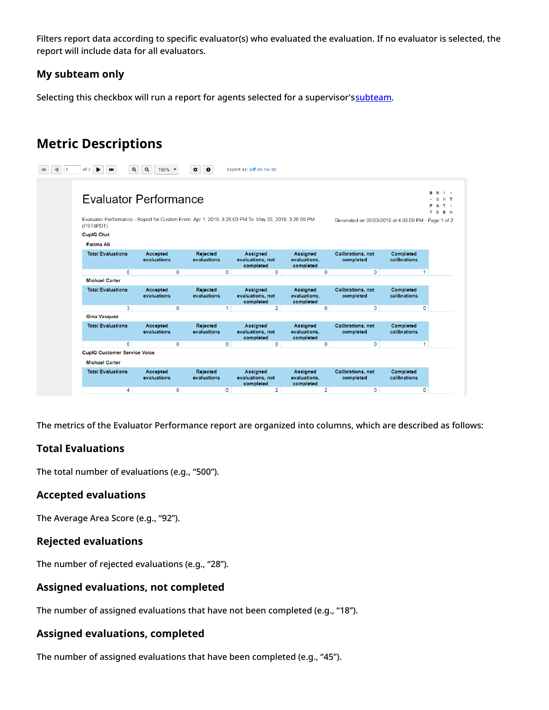Filters report data according to specific evaluator(s) who evaluated the evaluation. If no evaluator is selected, the report will include data for all evaluators.

# <span id="page-25-0"></span>**My subteam only**

Selecting this checkbox will run a report for agents selected for a supervisor's[subteam](https://help.brightpattern.com/5.8:QM/Reports/?action=html-localimages-export#topic_supervisor-guide.2Fagentmetricsview).

# <span id="page-25-1"></span>**Metric Descriptions**

| $\mathbf{\Omega}$<br>of 2                                                                                                                                                                     | $\mathbf{Q}$<br>150%    | $\mathbf{G}$<br>$\bullet$      |             | Export as: pdf xls csv txt                       |                                              |              |                                       |                           |             |  |  |  |  |
|-----------------------------------------------------------------------------------------------------------------------------------------------------------------------------------------------|-------------------------|--------------------------------|-------------|--------------------------------------------------|----------------------------------------------|--------------|---------------------------------------|---------------------------|-------------|--|--|--|--|
| <b>Evaluator Performance</b>                                                                                                                                                                  |                         |                                |             |                                                  |                                              |              |                                       |                           |             |  |  |  |  |
| Evaluator Performance - Report for Custom From: Apr 1, 2019, 3:25:00 PM To: May 23, 2019, 3:25:00 PM<br>Generated on 05/23/2019 at 4:03:09 PM - Page 1 of 2<br>(PST8PDT)<br><b>CupIQ Chat</b> |                         |                                |             |                                                  |                                              |              |                                       |                           |             |  |  |  |  |
| Fatima Ali                                                                                                                                                                                    |                         |                                |             |                                                  |                                              |              |                                       |                           |             |  |  |  |  |
| <b>Total Evaluations</b>                                                                                                                                                                      | Accepted<br>evaluations | Rejected<br>evaluations        |             | <b>Assigned</b><br>evaluations, not<br>completed | <b>Assigned</b><br>evaluations,<br>completed |              | <b>Calibrations, not</b><br>completed | Completed<br>calibrations |             |  |  |  |  |
| $\mathbf{0}$                                                                                                                                                                                  |                         | $\mathbf 0$                    | $\mathbf 0$ | $\mathbf 0$                                      |                                              | 0            | $\mathbf 0$                           |                           | 1           |  |  |  |  |
| <b>Michael Carter</b>                                                                                                                                                                         |                         |                                |             |                                                  |                                              |              |                                       |                           |             |  |  |  |  |
| <b>Total Evaluations</b>                                                                                                                                                                      | Accepted<br>evaluations | Rejected<br>evaluations        |             | <b>Assigned</b><br>evaluations, not<br>completed | <b>Assigned</b><br>evaluations,<br>completed |              | <b>Calibrations, not</b><br>completed | Completed<br>calibrations |             |  |  |  |  |
| 3                                                                                                                                                                                             |                         | $\mathbf 0$                    | 1           | $\overline{2}$                                   |                                              | 0            | $\mathbf 0$                           |                           | $\mathbf 0$ |  |  |  |  |
| <b>Gina Vasquez</b>                                                                                                                                                                           |                         |                                |             |                                                  |                                              |              |                                       |                           |             |  |  |  |  |
| <b>Total Evaluations</b>                                                                                                                                                                      | Accepted<br>evaluations | <b>Rejected</b><br>evaluations |             | Assigned<br>evaluations, not<br>completed        | Assigned<br>evaluations,<br>completed        |              | <b>Calibrations, not</b><br>completed | Completed<br>calibrations |             |  |  |  |  |
| $\overline{0}$                                                                                                                                                                                |                         | $\mathbf{0}$                   | $\mathbf 0$ | $\mathbf{0}$                                     |                                              | $\mathbf{0}$ | $\mathbf{0}$                          |                           | 1           |  |  |  |  |
| <b>CupIQ Customer Service Voice</b>                                                                                                                                                           |                         |                                |             |                                                  |                                              |              |                                       |                           |             |  |  |  |  |
|                                                                                                                                                                                               |                         |                                |             |                                                  |                                              |              |                                       |                           |             |  |  |  |  |
| <b>Michael Carter</b>                                                                                                                                                                         |                         |                                |             |                                                  |                                              |              |                                       |                           |             |  |  |  |  |
| <b>Total Evaluations</b>                                                                                                                                                                      | Accepted<br>evaluations | Rejected<br>evaluations        |             | <b>Assigned</b><br>evaluations, not<br>completed | <b>Assigned</b><br>evaluations,<br>completed |              | <b>Calibrations, not</b><br>completed | Completed<br>calibrations |             |  |  |  |  |

The metrics of the Evaluator Performance report are organized into columns, which are described as follows:

# <span id="page-25-2"></span>**Total Evaluations**

The total number of evaluations (e.g., "500").

## <span id="page-25-3"></span>**Accepted evaluations**

The Average Area Score (e.g., "92").

## <span id="page-25-4"></span>**Rejected evaluations**

The number of rejected evaluations (e.g., "28").

# <span id="page-25-5"></span>**Assigned evaluations, not completed**

The number of assigned evaluations that have not been completed (e.g., "18").

# <span id="page-25-6"></span>**Assigned evaluations, completed**

The number of assigned evaluations that have been completed (e.g., "45").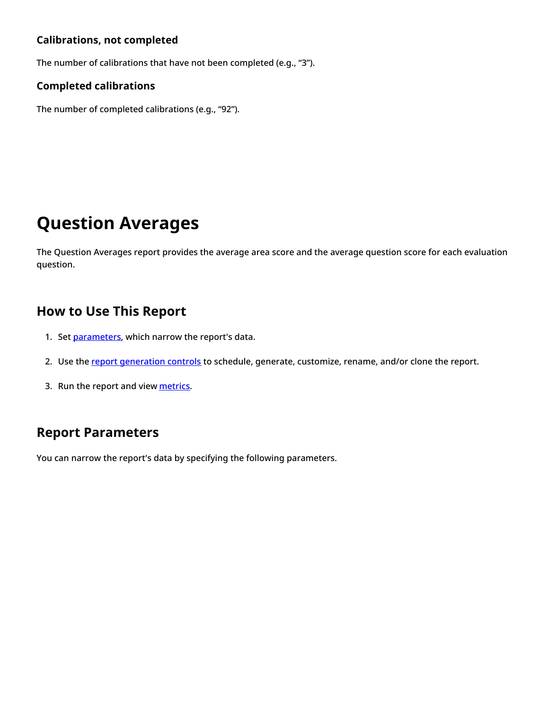# <span id="page-26-0"></span>**Calibrations, not completed**

The number of calibrations that have not been completed (e.g., "3").

# <span id="page-26-1"></span>**Completed calibrations**

The number of completed calibrations (e.g., "92").

# <span id="page-26-2"></span>**Question Averages**

The Question Averages report provides the average area score and the average question score for each evaluation question.

# <span id="page-26-3"></span>**How to Use This Report**

- 1. Set [parameters](https://help.brightpattern.com/5.8:QM/Reports/QuestionAverages#Report_Parameters), which narrow the report's data.
- 2. Use the report [generation](https://help.brightpattern.com/5.8:QM/Reports/?action=html-localimages-export#topic_qm.2Freports.2Freportgenerationcontrols) controls to schedule, generate, customize, rename, and/or clone the report.
- 3. Run the report and view [metrics](https://help.brightpattern.com/5.8:QM/Reports/QuestionAverages#Metric_Descriptions).

# <span id="page-26-4"></span>**Report Parameters**

You can narrow the report's data by specifying the following parameters.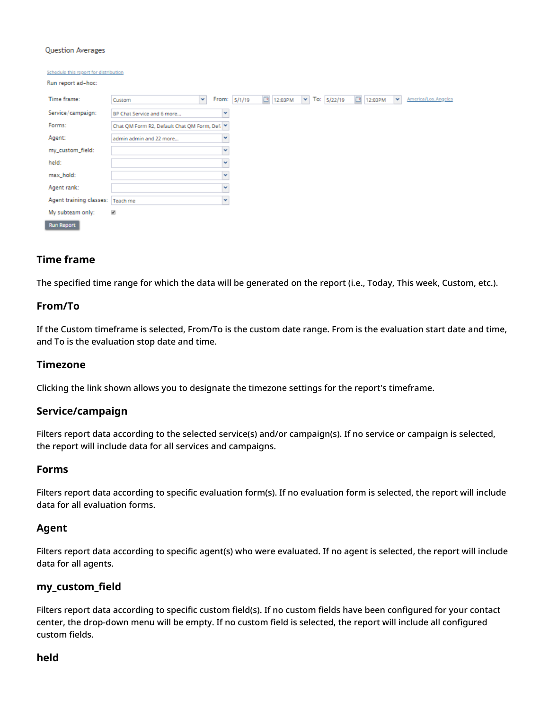#### Question Averages

| Schedule this report for distribution |                                                                                                                                  |
|---------------------------------------|----------------------------------------------------------------------------------------------------------------------------------|
| Run report ad-hoc:                    |                                                                                                                                  |
| Time frame:                           | $\Box$<br>To: 5/22/19<br>$\Box$<br>$\mathbf{v}$<br>v<br>From: 5/1/19<br>v<br>America/Los_Angeles<br>12:03PM<br>12:03PM<br>Custom |
| Service/campaign:                     | w<br>BP Chat Service and 6 more                                                                                                  |
| Forms:                                | Chat QM Form R2, Default Chat QM Form, Def. Y                                                                                    |
| Agent:                                | w<br>admin admin and 22 more                                                                                                     |
| my_custom_field:                      | v                                                                                                                                |
| held:                                 | v                                                                                                                                |
| max_hold:                             | v                                                                                                                                |
| Agent rank:                           | v                                                                                                                                |
| Agent training classes:   Teach me    | v                                                                                                                                |
| My subteam only:                      | ×                                                                                                                                |
| <b>Run Report</b>                     |                                                                                                                                  |

#### <span id="page-27-0"></span>**Time frame**

The specified time range for which the data will be generated on the report (i.e., Today, This week, Custom, etc.).

#### <span id="page-27-1"></span>**From/To**

If the Custom timeframe is selected, From/To is the custom date range. From is the evaluation start date and time, and To is the evaluation stop date and time.

#### <span id="page-27-2"></span>**Timezone**

Clicking the link shown allows you to designate the timezone settings for the report's timeframe.

#### <span id="page-27-3"></span>**Service/campaign**

Filters report data according to the selected service(s) and/or campaign(s). If no service or campaign is selected, the report will include data for all services and campaigns.

#### <span id="page-27-4"></span>**Forms**

Filters report data according to specific evaluation form(s). If no evaluation form is selected, the report will include data for all evaluation forms.

#### <span id="page-27-5"></span>**Agent**

Filters report data according to specific agent(s) who were evaluated. If no agent is selected, the report will include data for all agents.

#### <span id="page-27-6"></span>**my\_custom\_field**

Filters report data according to specific custom field(s). If no custom fields have been configured for your contact center, the drop-down menu will be empty. If no custom field is selected, the report will include all configured custom fields.

#### <span id="page-27-7"></span>**held**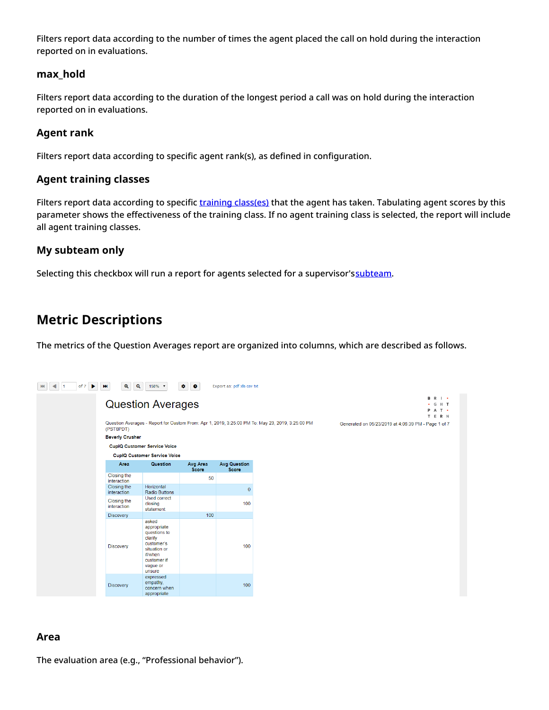Filters report data according to the number of times the agent placed the call on hold during the interaction reported on in evaluations.

# <span id="page-28-0"></span>**max\_hold**

Filters report data according to the duration of the longest period a call was on hold during the interaction reported on in evaluations.

# <span id="page-28-1"></span>**Agent rank**

Filters report data according to specific agent rank(s), as defined in configuration.

# <span id="page-28-2"></span>**Agent training classes**

Filters report data according to specific training [class\(es\)](https://help.brightpattern.com/5.8:Contact-center-administrator-guide/UsersandTeams/Users#Training_Class) that the agent has taken. Tabulating agent scores by this parameter shows the effectiveness of the training class. If no agent training class is selected, the report will include all agent training classes.

# <span id="page-28-3"></span>**My subteam only**

Selecting this checkbox will run a report for agents selected for a supervisor's[subteam](https://help.brightpattern.com/5.8:QM/Reports/?action=html-localimages-export#topic_supervisor-guide.2Fagentmetricsview).

# <span id="page-28-4"></span>**Metric Descriptions**

The metrics of the Question Averages report are organized into columns, which are described as follows.

| of 7<br>$\blacktriangleright$ | $\mathbf{Q}$<br>$\mathbf{Q}$<br><b>HH</b> | 150% +                                                                                                                        | $\bullet$<br>$\bullet$   | Export as: pdf xls csv txt   |
|-------------------------------|-------------------------------------------|-------------------------------------------------------------------------------------------------------------------------------|--------------------------|------------------------------|
|                               |                                           | <b>Question Averages</b>                                                                                                      |                          |                              |
|                               | (PST8PDT)                                 | Question Averages - Report for Custom From: Apr 1, 2019, 3:25:00 PM To: May 23, 2019, 3:25:00 PM                              |                          |                              |
|                               | <b>Beverly Crusher</b>                    |                                                                                                                               |                          |                              |
|                               |                                           | <b>CupIQ Customer Service Voice</b>                                                                                           |                          |                              |
|                               |                                           | <b>CupIQ Customer Service Voice</b>                                                                                           |                          |                              |
|                               | Area                                      | Question                                                                                                                      | Avg Area<br><b>Score</b> | <b>Avg Question</b><br>Score |
|                               | Closing the<br>interaction                |                                                                                                                               | 50                       |                              |
|                               | Closing the<br>interaction                | Horizontal<br><b>Radio Buttons</b>                                                                                            |                          | $\overline{0}$               |
|                               | Closing the<br>interaction                | <b>Used correct</b><br>closing<br>statement                                                                                   |                          | 100                          |
|                               | <b>Discovery</b>                          |                                                                                                                               | 100                      |                              |
|                               | <b>Discovery</b>                          | asked<br>appropriate<br>questions to<br>clarify<br>customer's<br>situation or<br>if/when<br>customer if<br>vague or<br>unsure |                          | 100                          |
|                               | <b>Discovery</b>                          | expressed<br>empathy,<br>concern when<br>appropriate                                                                          |                          | 100                          |

## <span id="page-28-5"></span>**Area**

The evaluation area (e.g., "Professional behavior").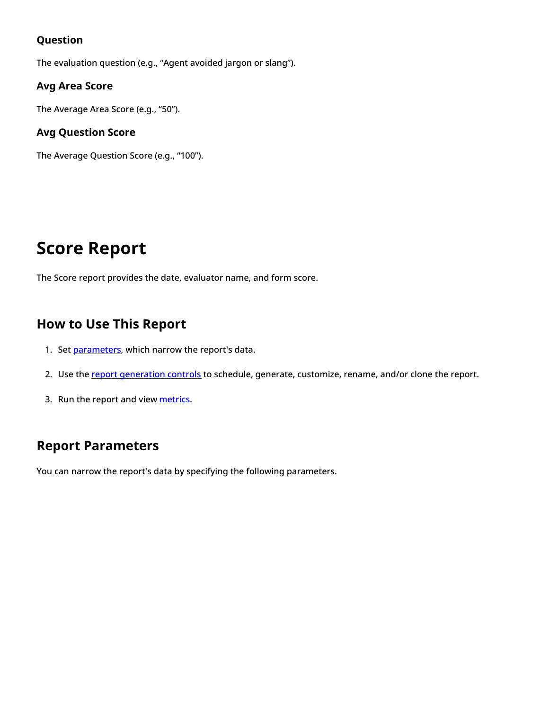# <span id="page-29-0"></span>**Question**

The evaluation question (e.g., "Agent avoided jargon or slang").

# <span id="page-29-1"></span>**Avg Area Score**

The Average Area Score (e.g., "50").

# <span id="page-29-2"></span>**Avg Question Score**

The Average Question Score (e.g., "100").

# <span id="page-29-3"></span>**Score Report**

The Score report provides the date, evaluator name, and form score.

# <span id="page-29-4"></span>**How to Use This Report**

- 1. Set [parameters](https://help.brightpattern.com/5.8:QM/Reports/ScoreReport#Report_Parameters), which narrow the report's data.
- 2. Use the report [generation](https://help.brightpattern.com/5.8:QM/Reports/?action=html-localimages-export#topic_qm.2Freports.2Freportgenerationcontrols) controls to schedule, generate, customize, rename, and/or clone the report.
- 3. Run the report and view [metrics](https://help.brightpattern.com/5.8:QM/Reports/ScoreReport#Metric_Descriptions).

# <span id="page-29-5"></span>**Report Parameters**

You can narrow the report's data by specifying the following parameters.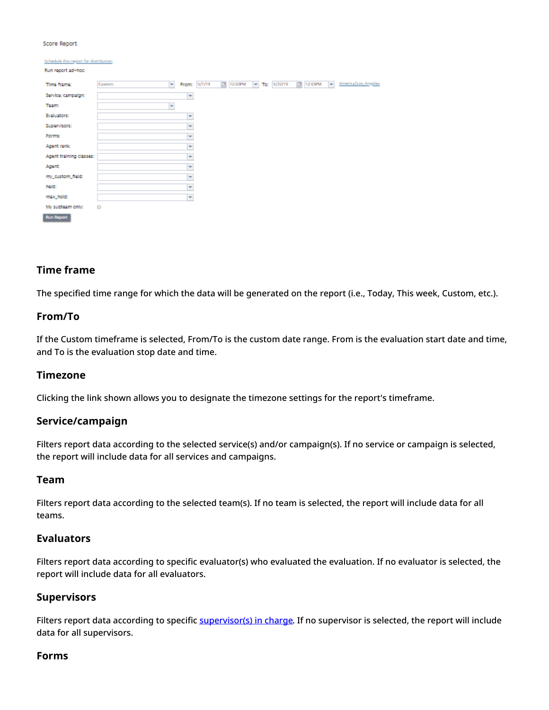#### Score Report

| Schedule this report for distribution |                        |              |           |                   |           |        |                     |
|---------------------------------------|------------------------|--------------|-----------|-------------------|-----------|--------|---------------------|
| Run report ad-hoc:                    |                        |              |           |                   |           |        |                     |
| Time frame:                           | $\mathbf{v}$<br>Custom | From: 5/1/19 | 图 12:03PM | $-$ To: $5/22/19$ | 图 12:03PM | $\sim$ | America/Los_Angeles |
| Service/campaign:                     |                        | ×            |           |                   |           |        |                     |
| <b>Team:</b>                          | ¥                      |              |           |                   |           |        |                     |
| <b>Evaluators:</b>                    |                        | ×            |           |                   |           |        |                     |
| Supervisors:                          |                        | ×            |           |                   |           |        |                     |
| Forms:                                |                        | ×            |           |                   |           |        |                     |
| Agent rank:                           |                        | ×            |           |                   |           |        |                     |
| Agent training classes:               |                        | ×            |           |                   |           |        |                     |
| Agent                                 |                        | ×            |           |                   |           |        |                     |
| my_custom_field:                      |                        | ×            |           |                   |           |        |                     |
| held:                                 |                        | ×            |           |                   |           |        |                     |
| max_hold:                             |                        | ×            |           |                   |           |        |                     |
| My subteam only:                      | $\qquad \qquad \Box$   |              |           |                   |           |        |                     |
| <b>Run Report</b>                     |                        |              |           |                   |           |        |                     |

## <span id="page-30-0"></span>**Time frame**

The specified time range for which the data will be generated on the report (i.e., Today, This week, Custom, etc.).

#### <span id="page-30-1"></span>**From/To**

If the Custom timeframe is selected, From/To is the custom date range. From is the evaluation start date and time, and To is the evaluation stop date and time.

#### <span id="page-30-2"></span>**Timezone**

Clicking the link shown allows you to designate the timezone settings for the report's timeframe.

#### <span id="page-30-3"></span>**Service/campaign**

Filters report data according to the selected service(s) and/or campaign(s). If no service or campaign is selected, the report will include data for all services and campaigns.

#### <span id="page-30-4"></span>**Team**

Filters report data according to the selected team(s). If no team is selected, the report will include data for all teams.

#### <span id="page-30-5"></span>**Evaluators**

Filters report data according to specific evaluator(s) who evaluated the evaluation. If no evaluator is selected, the report will include data for all evaluators.

#### <span id="page-30-6"></span>**Supervisors**

Filters report data according to specific [supervisor\(s\)](https://help.brightpattern.com/5.8:Contact-center-administrator-guide/UsersandTeams/Users#Supervisor_in_charge) in charge. If no supervisor is selected, the report will include data for all supervisors.

#### <span id="page-30-7"></span>**Forms**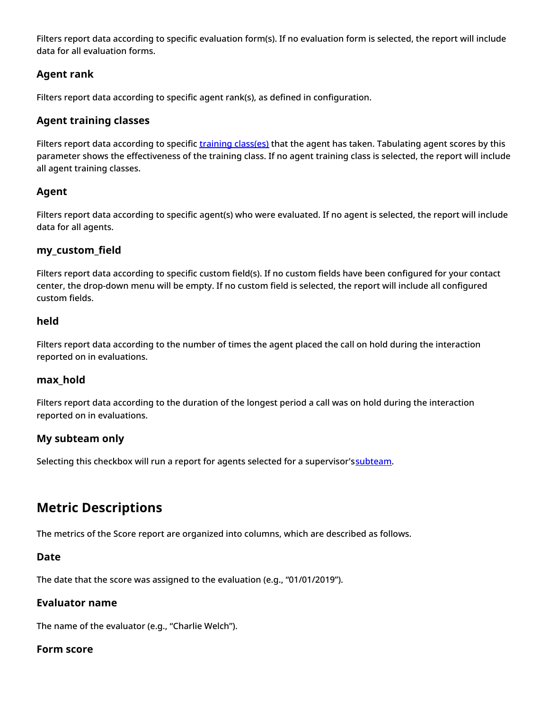Filters report data according to specific evaluation form(s). If no evaluation form is selected, the report will include data for all evaluation forms.

# <span id="page-31-0"></span>**Agent rank**

Filters report data according to specific agent rank(s), as defined in configuration.

# <span id="page-31-1"></span>**Agent training classes**

Filters report data according to specific training [class\(es\)](https://help.brightpattern.com/5.8:Contact-center-administrator-guide/UsersandTeams/Users#Training_Class) that the agent has taken. Tabulating agent scores by this parameter shows the effectiveness of the training class. If no agent training class is selected, the report will include all agent training classes.

# <span id="page-31-2"></span>**Agent**

Filters report data according to specific agent(s) who were evaluated. If no agent is selected, the report will include data for all agents.

# <span id="page-31-3"></span>**my\_custom\_field**

Filters report data according to specific custom field(s). If no custom fields have been configured for your contact center, the drop-down menu will be empty. If no custom field is selected, the report will include all configured custom fields.

## <span id="page-31-4"></span>**held**

Filters report data according to the number of times the agent placed the call on hold during the interaction reported on in evaluations.

## <span id="page-31-5"></span>**max\_hold**

Filters report data according to the duration of the longest period a call was on hold during the interaction reported on in evaluations.

# <span id="page-31-6"></span>**My subteam only**

Selecting this checkbox will run a report for agents selected for a supervisor's [subteam](https://help.brightpattern.com/5.8:QM/Reports/?action=html-localimages-export#topic_supervisor-guide.2Fagentmetricsview).

# <span id="page-31-7"></span>**Metric Descriptions**

The metrics of the Score report are organized into columns, which are described as follows.

## <span id="page-31-8"></span>**Date**

The date that the score was assigned to the evaluation (e.g., "01/01/2019").

## <span id="page-31-9"></span>**Evaluator name**

The name of the evaluator (e.g., "Charlie Welch").

## <span id="page-31-10"></span>**Form score**